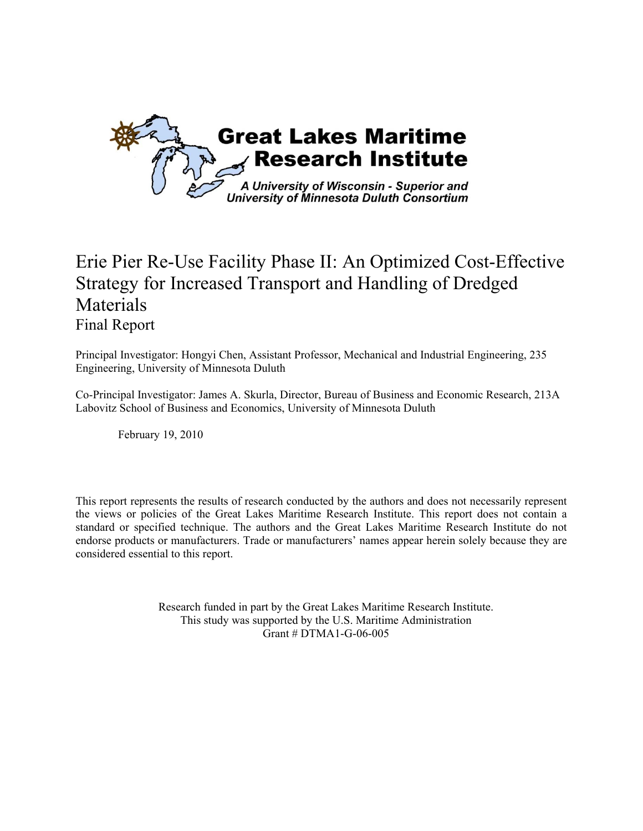

# Erie Pier Re-Use Facility Phase II: An Optimized Cost-Effective Strategy for Increased Transport and Handling of Dredged Materials Final Report

Principal Investigator: Hongyi Chen, Assistant Professor, Mechanical and Industrial Engineering, 235 Engineering, University of Minnesota Duluth

Co-Principal Investigator: James A. Skurla, Director, Bureau of Business and Economic Research, 213A Labovitz School of Business and Economics, University of Minnesota Duluth

February 19, 2010

This report represents the results of research conducted by the authors and does not necessarily represent the views or policies of the Great Lakes Maritime Research Institute. This report does not contain a standard or specified technique. The authors and the Great Lakes Maritime Research Institute do not endorse products or manufacturers. Trade or manufacturers' names appear herein solely because they are considered essential to this report.

> Research funded in part by the Great Lakes Maritime Research Institute. This study was supported by the U.S. Maritime Administration Grant # DTMA1-G-06-005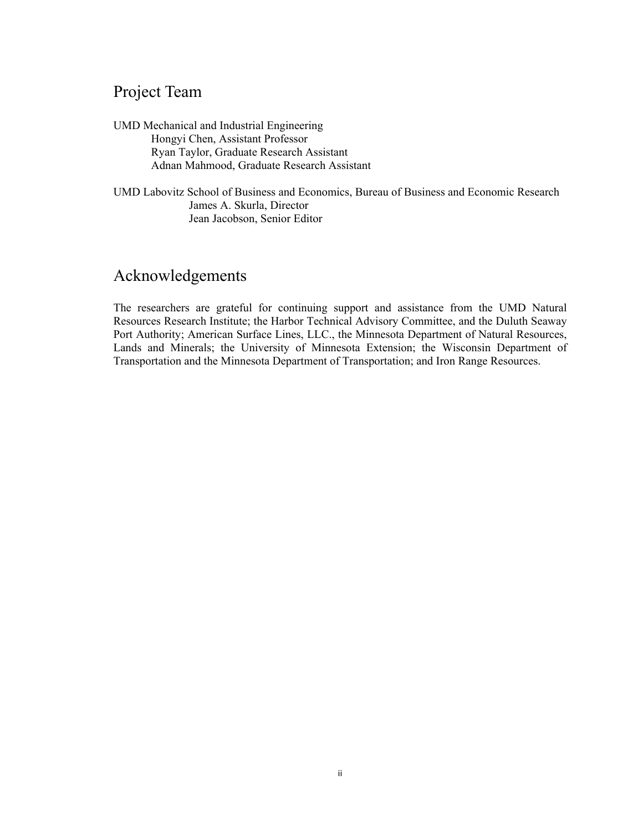## Project Team

UMD Mechanical and Industrial Engineering Hongyi Chen, Assistant Professor Ryan Taylor, Graduate Research Assistant Adnan Mahmood, Graduate Research Assistant

UMD Labovitz School of Business and Economics, Bureau of Business and Economic Research James A. Skurla, Director Jean Jacobson, Senior Editor

## Acknowledgements

The researchers are grateful for continuing support and assistance from the UMD Natural Resources Research Institute; the Harbor Technical Advisory Committee, and the Duluth Seaway Port Authority; American Surface Lines, LLC., the Minnesota Department of Natural Resources, Lands and Minerals; the University of Minnesota Extension; the Wisconsin Department of Transportation and the Minnesota Department of Transportation; and Iron Range Resources.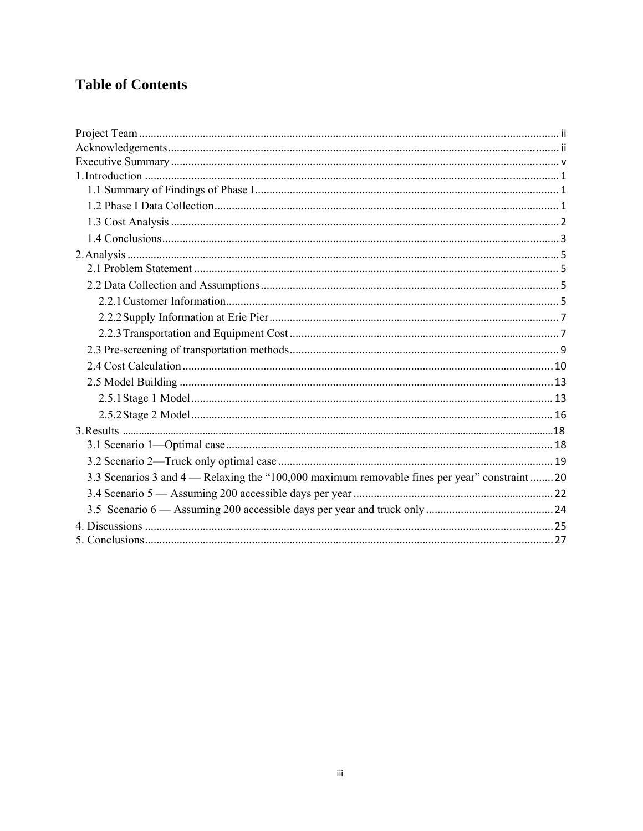# **Table of Contents**

| 3.3 Scenarios 3 and 4 — Relaxing the "100,000 maximum removable fines per year" constraint  20 |
|------------------------------------------------------------------------------------------------|
|                                                                                                |
|                                                                                                |
|                                                                                                |
|                                                                                                |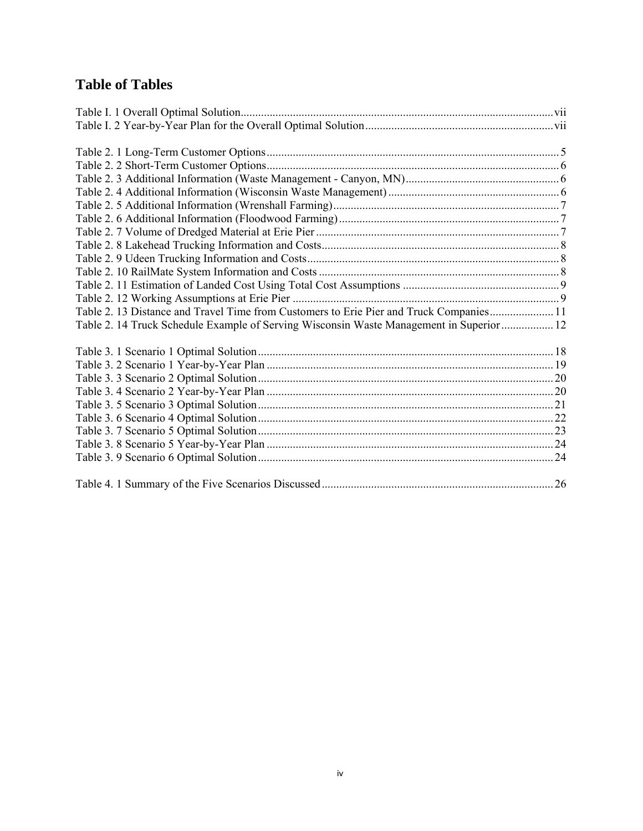# **Table of Tables**

| Table 2. 13 Distance and Travel Time from Customers to Erie Pier and Truck Companies 11  |  |
|------------------------------------------------------------------------------------------|--|
| Table 2. 14 Truck Schedule Example of Serving Wisconsin Waste Management in Superior  12 |  |
|                                                                                          |  |
|                                                                                          |  |
|                                                                                          |  |
|                                                                                          |  |
|                                                                                          |  |
|                                                                                          |  |
|                                                                                          |  |
|                                                                                          |  |
|                                                                                          |  |
|                                                                                          |  |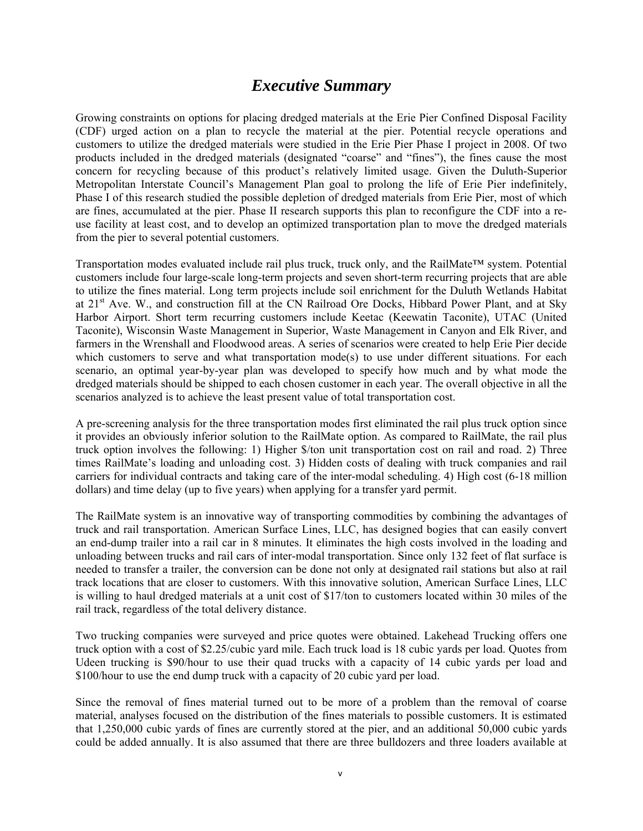## *Executive Summary*

Growing constraints on options for placing dredged materials at the Erie Pier Confined Disposal Facility (CDF) urged action on a plan to recycle the material at the pier. Potential recycle operations and customers to utilize the dredged materials were studied in the Erie Pier Phase I project in 2008. Of two products included in the dredged materials (designated "coarse" and "fines"), the fines cause the most concern for recycling because of this product's relatively limited usage. Given the Duluth-Superior Metropolitan Interstate Council's Management Plan goal to prolong the life of Erie Pier indefinitely, Phase I of this research studied the possible depletion of dredged materials from Erie Pier, most of which are fines, accumulated at the pier. Phase II research supports this plan to reconfigure the CDF into a reuse facility at least cost, and to develop an optimized transportation plan to move the dredged materials from the pier to several potential customers.

Transportation modes evaluated include rail plus truck, truck only, and the RailMate™ system. Potential customers include four large-scale long-term projects and seven short-term recurring projects that are able to utilize the fines material. Long term projects include soil enrichment for the Duluth Wetlands Habitat at 21<sup>st</sup> Ave. W., and construction fill at the CN Railroad Ore Docks, Hibbard Power Plant, and at Sky Harbor Airport. Short term recurring customers include Keetac (Keewatin Taconite), UTAC (United Taconite), Wisconsin Waste Management in Superior, Waste Management in Canyon and Elk River, and farmers in the Wrenshall and Floodwood areas. A series of scenarios were created to help Erie Pier decide which customers to serve and what transportation mode(s) to use under different situations. For each scenario, an optimal year-by-year plan was developed to specify how much and by what mode the dredged materials should be shipped to each chosen customer in each year. The overall objective in all the scenarios analyzed is to achieve the least present value of total transportation cost.

A pre-screening analysis for the three transportation modes first eliminated the rail plus truck option since it provides an obviously inferior solution to the RailMate option. As compared to RailMate, the rail plus truck option involves the following: 1) Higher \$/ton unit transportation cost on rail and road. 2) Three times RailMate's loading and unloading cost. 3) Hidden costs of dealing with truck companies and rail carriers for individual contracts and taking care of the inter-modal scheduling. 4) High cost (6-18 million dollars) and time delay (up to five years) when applying for a transfer yard permit.

The RailMate system is an innovative way of transporting commodities by combining the advantages of truck and rail transportation. American Surface Lines, LLC, has designed bogies that can easily convert an end-dump trailer into a rail car in 8 minutes. It eliminates the high costs involved in the loading and unloading between trucks and rail cars of inter-modal transportation. Since only 132 feet of flat surface is needed to transfer a trailer, the conversion can be done not only at designated rail stations but also at rail track locations that are closer to customers. With this innovative solution, American Surface Lines, LLC is willing to haul dredged materials at a unit cost of \$17/ton to customers located within 30 miles of the rail track, regardless of the total delivery distance.

Two trucking companies were surveyed and price quotes were obtained. Lakehead Trucking offers one truck option with a cost of \$2.25/cubic yard mile. Each truck load is 18 cubic yards per load. Quotes from Udeen trucking is \$90/hour to use their quad trucks with a capacity of 14 cubic yards per load and \$100/hour to use the end dump truck with a capacity of 20 cubic yard per load.

Since the removal of fines material turned out to be more of a problem than the removal of coarse material, analyses focused on the distribution of the fines materials to possible customers. It is estimated that 1,250,000 cubic yards of fines are currently stored at the pier, and an additional 50,000 cubic yards could be added annually. It is also assumed that there are three bulldozers and three loaders available at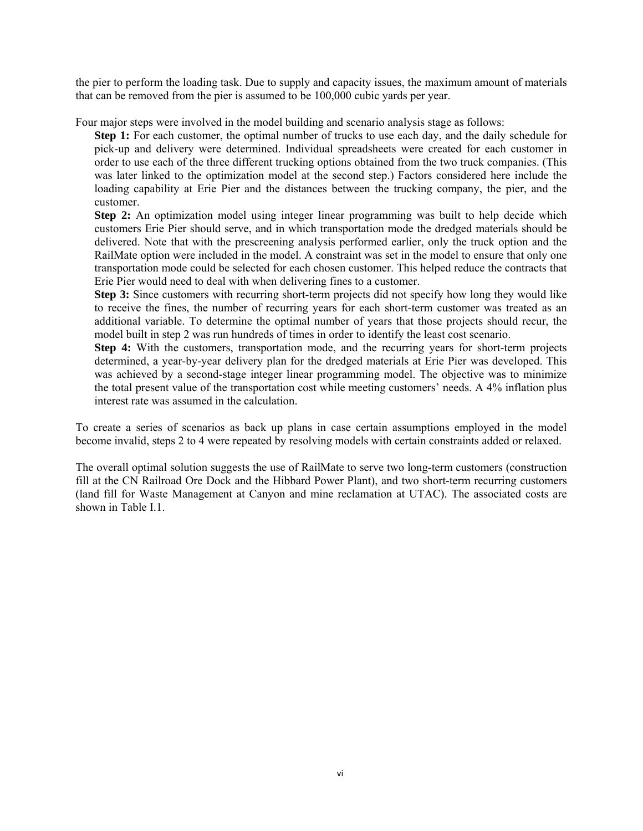the pier to perform the loading task. Due to supply and capacity issues, the maximum amount of materials that can be removed from the pier is assumed to be 100,000 cubic yards per year.

Four major steps were involved in the model building and scenario analysis stage as follows:

**Step 1:** For each customer, the optimal number of trucks to use each day, and the daily schedule for pick-up and delivery were determined. Individual spreadsheets were created for each customer in order to use each of the three different trucking options obtained from the two truck companies. (This was later linked to the optimization model at the second step.) Factors considered here include the loading capability at Erie Pier and the distances between the trucking company, the pier, and the customer.

**Step 2:** An optimization model using integer linear programming was built to help decide which customers Erie Pier should serve, and in which transportation mode the dredged materials should be delivered. Note that with the prescreening analysis performed earlier, only the truck option and the RailMate option were included in the model. A constraint was set in the model to ensure that only one transportation mode could be selected for each chosen customer. This helped reduce the contracts that Erie Pier would need to deal with when delivering fines to a customer.

**Step 3:** Since customers with recurring short-term projects did not specify how long they would like to receive the fines, the number of recurring years for each short-term customer was treated as an additional variable. To determine the optimal number of years that those projects should recur, the model built in step 2 was run hundreds of times in order to identify the least cost scenario.

**Step 4:** With the customers, transportation mode, and the recurring years for short-term projects determined, a year-by-year delivery plan for the dredged materials at Erie Pier was developed. This was achieved by a second-stage integer linear programming model. The objective was to minimize the total present value of the transportation cost while meeting customers' needs. A 4% inflation plus interest rate was assumed in the calculation.

To create a series of scenarios as back up plans in case certain assumptions employed in the model become invalid, steps 2 to 4 were repeated by resolving models with certain constraints added or relaxed.

The overall optimal solution suggests the use of RailMate to serve two long-term customers (construction fill at the CN Railroad Ore Dock and the Hibbard Power Plant), and two short-term recurring customers (land fill for Waste Management at Canyon and mine reclamation at UTAC). The associated costs are shown in Table I.1.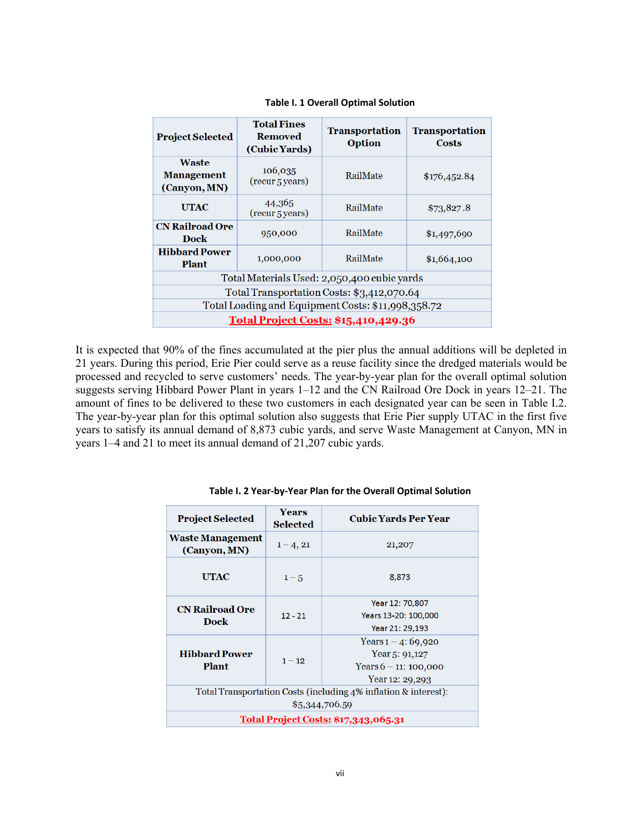| <b>Project Selected</b>                            | <b>Total Fines</b><br><b>Removed</b><br>(Cubic Yards) | <b>Transportation</b><br><b>Option</b> | <b>Transportation</b><br>Costs |
|----------------------------------------------------|-------------------------------------------------------|----------------------------------------|--------------------------------|
| <b>Waste</b><br><b>Management</b><br>(Canyon, MN)  | 106,035<br>(recur 5 years)                            | RailMate                               | \$176,452.84                   |
| <b>UTAC</b>                                        | 44,365<br>(recur <sub>5</sub> years)                  | RailMate                               | \$73,827.8                     |
| <b>CN Railroad Ore</b><br><b>Dock</b>              | 950,000                                               | RailMate                               | \$1,497,690                    |
| <b>Hibbard Power</b><br><b>Plant</b>               | 1,000,000                                             | RailMate                               | \$1,664,100                    |
| Total Materials Used: 2,050,400 cubic yards        |                                                       |                                        |                                |
| Total Transportation Costs: \$3,412,070.64         |                                                       |                                        |                                |
| Total Loading and Equipment Costs: \$11,998,358.72 |                                                       |                                        |                                |
| <b>Total Project Costs: \$15,410,429.36</b>        |                                                       |                                        |                                |

**Table I. 1 Overall Optimal Solution**

It is expected that 90% of the fines accumulated at the pier plus the annual additions will be depleted in 21 years. During this period, Erie Pier could serve as a reuse facility since the dredged materials would be processed and recycled to serve customers' needs. The year-by-year plan for the overall optimal solution suggests serving Hibbard Power Plant in years 1–12 and the CN Railroad Ore Dock in years 12–21. The amount of fines to be delivered to these two customers in each designated year can be seen in Table I.2. The year-by-year plan for this optimal solution also suggests that Erie Pier supply UTAC in the first five years to satisfy its annual demand of 8,873 cubic yards, and serve Waste Management at Canyon, MN in years 1–4 and 21 to meet its annual demand of 21,207 cubic yards.

| <b>Project Selected</b>                                                           | <b>Years</b><br><b>Selected</b> | <b>Cubic Yards Per Year</b>                                                                |
|-----------------------------------------------------------------------------------|---------------------------------|--------------------------------------------------------------------------------------------|
| <b>Waste Management</b><br>(Canyon, MN)                                           | $1 - 4, 21$                     | 21,207                                                                                     |
| <b>UTAC</b>                                                                       | $1 - 5$                         | 8,873                                                                                      |
| <b>CN Railroad Ore</b><br><b>Dock</b>                                             | $12 - 21$                       | Year 12: 70,807<br>Years 13-20: 100,000<br>Year 21: 29,193                                 |
| <b>Hibbard Power</b><br><b>Plant</b>                                              | $1 - 12$                        | Years $1 - 4$ : 69,920<br>Year 5: $91,127$<br>Years $6 - 11$ : 100,000<br>Year 12: 29, 293 |
| Total Transportation Costs (including 4% inflation & interest):<br>\$5,344,706.59 |                                 |                                                                                            |
| <b>Total Project Costs: \$17,343,065.31</b>                                       |                                 |                                                                                            |

**Table I. 2 Year‐by‐Year Plan for the Overall Optimal Solution**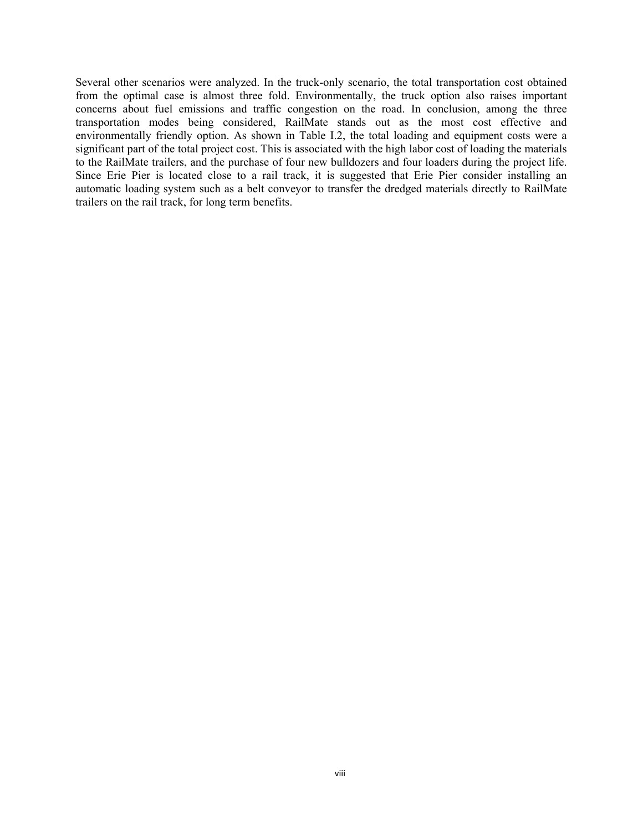Several other scenarios were analyzed. In the truck-only scenario, the total transportation cost obtained from the optimal case is almost three fold. Environmentally, the truck option also raises important concerns about fuel emissions and traffic congestion on the road. In conclusion, among the three transportation modes being considered, RailMate stands out as the most cost effective and environmentally friendly option. As shown in Table I.2, the total loading and equipment costs were a significant part of the total project cost. This is associated with the high labor cost of loading the materials to the RailMate trailers, and the purchase of four new bulldozers and four loaders during the project life. Since Erie Pier is located close to a rail track, it is suggested that Erie Pier consider installing an automatic loading system such as a belt conveyor to transfer the dredged materials directly to RailMate trailers on the rail track, for long term benefits.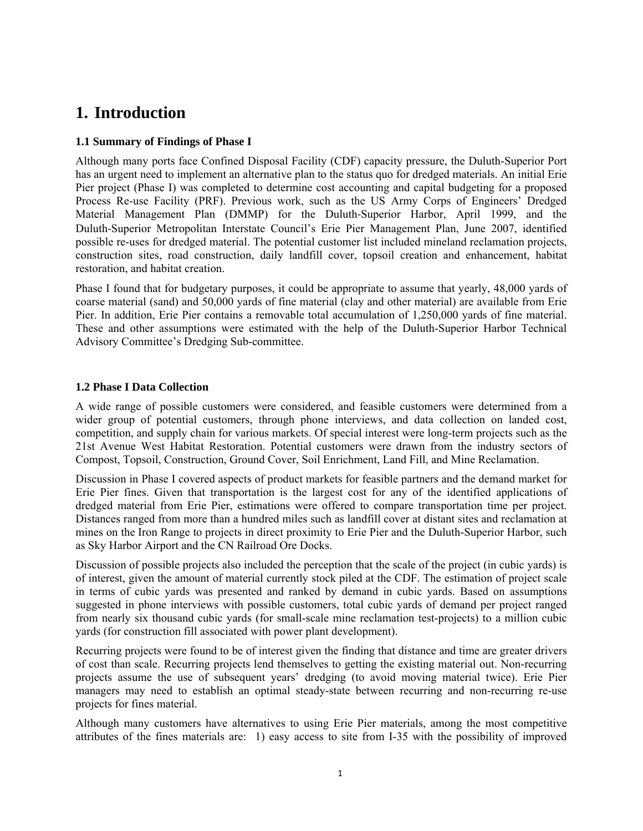# **1. Introduction**

## **1.1 Summary of Findings of Phase I**

Although many ports face Confined Disposal Facility (CDF) capacity pressure, the Duluth-Superior Port has an urgent need to implement an alternative plan to the status quo for dredged materials. An initial Erie Pier project (Phase I) was completed to determine cost accounting and capital budgeting for a proposed Process Re-use Facility (PRF). Previous work, such as the US Army Corps of Engineers' Dredged Material Management Plan (DMMP) for the Duluth‐Superior Harbor, April 1999, and the Duluth‐Superior Metropolitan Interstate Council's Erie Pier Management Plan, June 2007, identified possible re-uses for dredged material. The potential customer list included mineland reclamation projects, construction sites, road construction, daily landfill cover, topsoil creation and enhancement, habitat restoration, and habitat creation.

Phase I found that for budgetary purposes, it could be appropriate to assume that yearly, 48,000 yards of coarse material (sand) and 50,000 yards of fine material (clay and other material) are available from Erie Pier. In addition, Erie Pier contains a removable total accumulation of 1,250,000 yards of fine material. These and other assumptions were estimated with the help of the Duluth-Superior Harbor Technical Advisory Committee's Dredging Sub-committee.

## **1.2 Phase I Data Collection**

A wide range of possible customers were considered, and feasible customers were determined from a wider group of potential customers, through phone interviews, and data collection on landed cost, competition, and supply chain for various markets. Of special interest were long-term projects such as the 21st Avenue West Habitat Restoration. Potential customers were drawn from the industry sectors of Compost, Topsoil, Construction, Ground Cover, Soil Enrichment, Land Fill, and Mine Reclamation.

Discussion in Phase I covered aspects of product markets for feasible partners and the demand market for Erie Pier fines. Given that transportation is the largest cost for any of the identified applications of dredged material from Erie Pier, estimations were offered to compare transportation time per project. Distances ranged from more than a hundred miles such as landfill cover at distant sites and reclamation at mines on the Iron Range to projects in direct proximity to Erie Pier and the Duluth-Superior Harbor, such as Sky Harbor Airport and the CN Railroad Ore Docks.

Discussion of possible projects also included the perception that the scale of the project (in cubic yards) is of interest, given the amount of material currently stock piled at the CDF. The estimation of project scale in terms of cubic yards was presented and ranked by demand in cubic yards. Based on assumptions suggested in phone interviews with possible customers, total cubic yards of demand per project ranged from nearly six thousand cubic yards (for small-scale mine reclamation test-projects) to a million cubic yards (for construction fill associated with power plant development).

Recurring projects were found to be of interest given the finding that distance and time are greater drivers of cost than scale. Recurring projects lend themselves to getting the existing material out. Non-recurring projects assume the use of subsequent years' dredging (to avoid moving material twice). Erie Pier managers may need to establish an optimal steady-state between recurring and non-recurring re-use projects for fines material.

Although many customers have alternatives to using Erie Pier materials, among the most competitive attributes of the fines materials are: 1) easy access to site from I-35 with the possibility of improved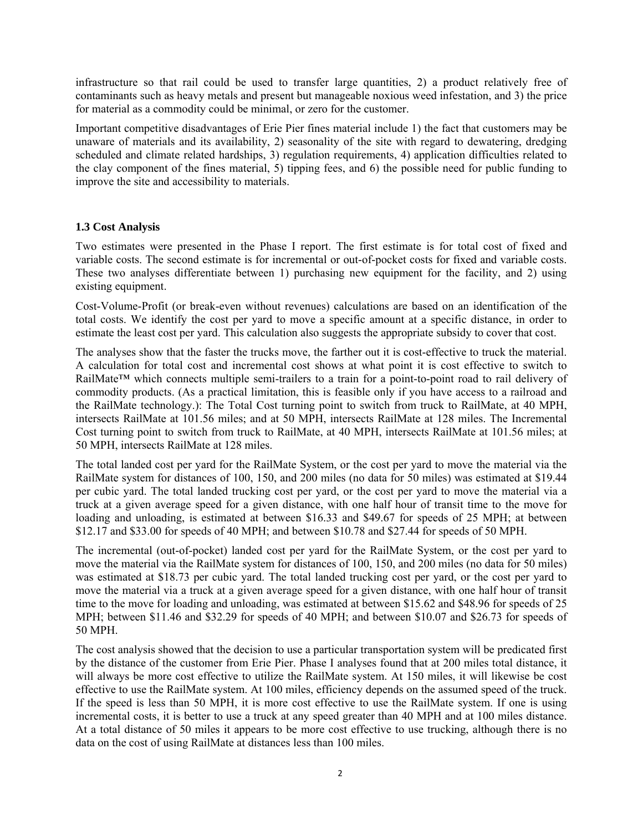infrastructure so that rail could be used to transfer large quantities, 2) a product relatively free of contaminants such as heavy metals and present but manageable noxious weed infestation, and 3) the price for material as a commodity could be minimal, or zero for the customer.

Important competitive disadvantages of Erie Pier fines material include 1) the fact that customers may be unaware of materials and its availability, 2) seasonality of the site with regard to dewatering, dredging scheduled and climate related hardships, 3) regulation requirements, 4) application difficulties related to the clay component of the fines material, 5) tipping fees, and 6) the possible need for public funding to improve the site and accessibility to materials.

## **1.3 Cost Analysis**

Two estimates were presented in the Phase I report. The first estimate is for total cost of fixed and variable costs. The second estimate is for incremental or out-of-pocket costs for fixed and variable costs. These two analyses differentiate between 1) purchasing new equipment for the facility, and 2) using existing equipment.

Cost-Volume-Profit (or break-even without revenues) calculations are based on an identification of the total costs. We identify the cost per yard to move a specific amount at a specific distance, in order to estimate the least cost per yard. This calculation also suggests the appropriate subsidy to cover that cost.

The analyses show that the faster the trucks move, the farther out it is cost-effective to truck the material. A calculation for total cost and incremental cost shows at what point it is cost effective to switch to RailMate™ which connects multiple semi-trailers to a train for a point-to-point road to rail delivery of commodity products. (As a practical limitation, this is feasible only if you have access to a railroad and the RailMate technology.): The Total Cost turning point to switch from truck to RailMate, at 40 MPH, intersects RailMate at 101.56 miles; and at 50 MPH, intersects RailMate at 128 miles. The Incremental Cost turning point to switch from truck to RailMate, at 40 MPH, intersects RailMate at 101.56 miles; at 50 MPH, intersects RailMate at 128 miles.

The total landed cost per yard for the RailMate System, or the cost per yard to move the material via the RailMate system for distances of 100, 150, and 200 miles (no data for 50 miles) was estimated at \$19.44 per cubic yard. The total landed trucking cost per yard, or the cost per yard to move the material via a truck at a given average speed for a given distance, with one half hour of transit time to the move for loading and unloading, is estimated at between \$16.33 and \$49.67 for speeds of 25 MPH; at between \$12.17 and \$33.00 for speeds of 40 MPH; and between \$10.78 and \$27.44 for speeds of 50 MPH.

The incremental (out-of-pocket) landed cost per yard for the RailMate System, or the cost per yard to move the material via the RailMate system for distances of 100, 150, and 200 miles (no data for 50 miles) was estimated at \$18.73 per cubic yard. The total landed trucking cost per yard, or the cost per yard to move the material via a truck at a given average speed for a given distance, with one half hour of transit time to the move for loading and unloading, was estimated at between \$15.62 and \$48.96 for speeds of 25 MPH; between \$11.46 and \$32.29 for speeds of 40 MPH; and between \$10.07 and \$26.73 for speeds of 50 MPH.

The cost analysis showed that the decision to use a particular transportation system will be predicated first by the distance of the customer from Erie Pier. Phase I analyses found that at 200 miles total distance, it will always be more cost effective to utilize the RailMate system. At 150 miles, it will likewise be cost effective to use the RailMate system. At 100 miles, efficiency depends on the assumed speed of the truck. If the speed is less than 50 MPH, it is more cost effective to use the RailMate system. If one is using incremental costs, it is better to use a truck at any speed greater than 40 MPH and at 100 miles distance. At a total distance of 50 miles it appears to be more cost effective to use trucking, although there is no data on the cost of using RailMate at distances less than 100 miles.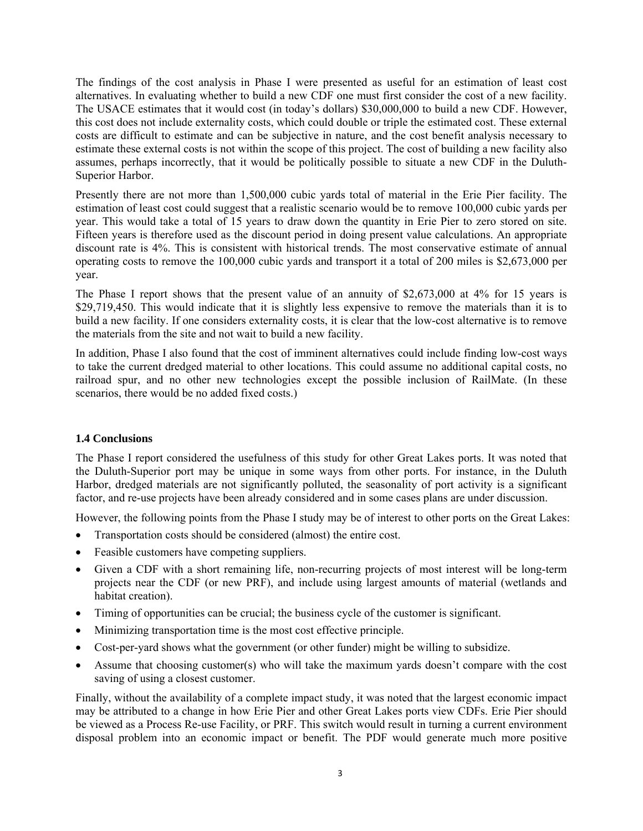The findings of the cost analysis in Phase I were presented as useful for an estimation of least cost alternatives. In evaluating whether to build a new CDF one must first consider the cost of a new facility. The USACE estimates that it would cost (in today's dollars) \$30,000,000 to build a new CDF. However, this cost does not include externality costs, which could double or triple the estimated cost. These external costs are difficult to estimate and can be subjective in nature, and the cost benefit analysis necessary to estimate these external costs is not within the scope of this project. The cost of building a new facility also assumes, perhaps incorrectly, that it would be politically possible to situate a new CDF in the Duluth-Superior Harbor.

Presently there are not more than 1,500,000 cubic yards total of material in the Erie Pier facility. The estimation of least cost could suggest that a realistic scenario would be to remove 100,000 cubic yards per year. This would take a total of 15 years to draw down the quantity in Erie Pier to zero stored on site. Fifteen years is therefore used as the discount period in doing present value calculations. An appropriate discount rate is 4%. This is consistent with historical trends. The most conservative estimate of annual operating costs to remove the 100,000 cubic yards and transport it a total of 200 miles is \$2,673,000 per year.

The Phase I report shows that the present value of an annuity of \$2,673,000 at 4% for 15 years is \$29,719,450. This would indicate that it is slightly less expensive to remove the materials than it is to build a new facility. If one considers externality costs, it is clear that the low-cost alternative is to remove the materials from the site and not wait to build a new facility.

In addition, Phase I also found that the cost of imminent alternatives could include finding low-cost ways to take the current dredged material to other locations. This could assume no additional capital costs, no railroad spur, and no other new technologies except the possible inclusion of RailMate. (In these scenarios, there would be no added fixed costs.)

### **1.4 Conclusions**

The Phase I report considered the usefulness of this study for other Great Lakes ports. It was noted that the Duluth-Superior port may be unique in some ways from other ports. For instance, in the Duluth Harbor, dredged materials are not significantly polluted, the seasonality of port activity is a significant factor, and re-use projects have been already considered and in some cases plans are under discussion.

However, the following points from the Phase I study may be of interest to other ports on the Great Lakes:

- Transportation costs should be considered (almost) the entire cost.
- Feasible customers have competing suppliers.
- Given a CDF with a short remaining life, non-recurring projects of most interest will be long-term projects near the CDF (or new PRF), and include using largest amounts of material (wetlands and habitat creation).
- Timing of opportunities can be crucial; the business cycle of the customer is significant.
- Minimizing transportation time is the most cost effective principle.
- Cost-per-yard shows what the government (or other funder) might be willing to subsidize.
- Assume that choosing customer(s) who will take the maximum yards doesn't compare with the cost saving of using a closest customer.

Finally, without the availability of a complete impact study, it was noted that the largest economic impact may be attributed to a change in how Erie Pier and other Great Lakes ports view CDFs. Erie Pier should be viewed as a Process Re-use Facility, or PRF. This switch would result in turning a current environment disposal problem into an economic impact or benefit. The PDF would generate much more positive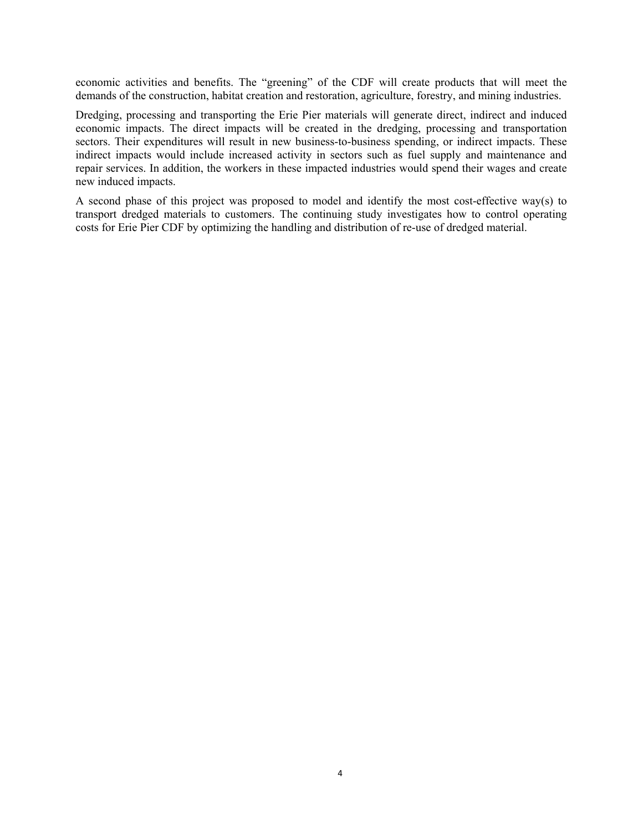economic activities and benefits. The "greening" of the CDF will create products that will meet the demands of the construction, habitat creation and restoration, agriculture, forestry, and mining industries.

Dredging, processing and transporting the Erie Pier materials will generate direct, indirect and induced economic impacts. The direct impacts will be created in the dredging, processing and transportation sectors. Their expenditures will result in new business-to-business spending, or indirect impacts. These indirect impacts would include increased activity in sectors such as fuel supply and maintenance and repair services. In addition, the workers in these impacted industries would spend their wages and create new induced impacts.

A second phase of this project was proposed to model and identify the most cost-effective way(s) to transport dredged materials to customers. The continuing study investigates how to control operating costs for Erie Pier CDF by optimizing the handling and distribution of re-use of dredged material.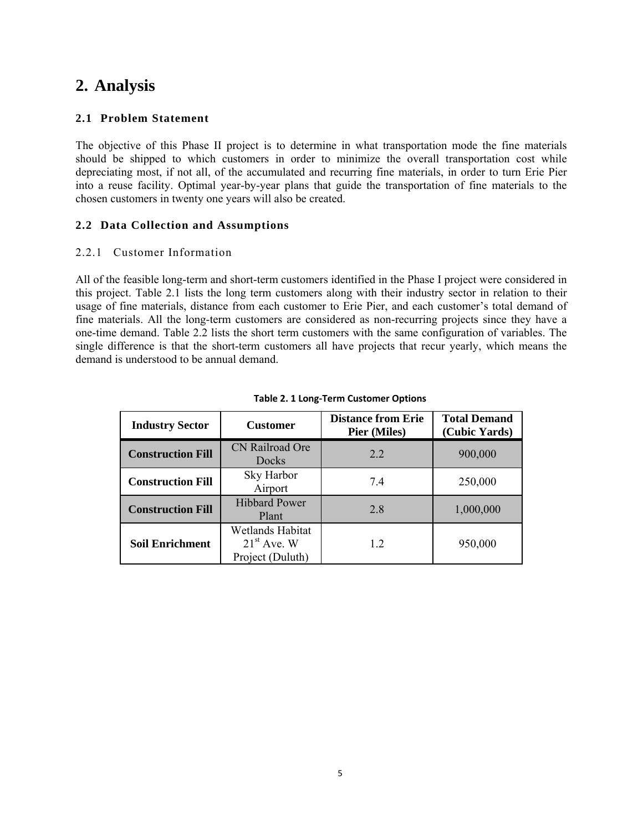# **2. Analysis**

## **2.1 Problem Statement**

The objective of this Phase II project is to determine in what transportation mode the fine materials should be shipped to which customers in order to minimize the overall transportation cost while depreciating most, if not all, of the accumulated and recurring fine materials, in order to turn Erie Pier into a reuse facility. Optimal year-by-year plans that guide the transportation of fine materials to the chosen customers in twenty one years will also be created.

## **2.2 Data Collection and Assumptions**

## 2.2.1 Customer Information

All of the feasible long-term and short-term customers identified in the Phase I project were considered in this project. Table 2.1 lists the long term customers along with their industry sector in relation to their usage of fine materials, distance from each customer to Erie Pier, and each customer's total demand of fine materials. All the long-term customers are considered as non-recurring projects since they have a one-time demand. Table 2.2 lists the short term customers with the same configuration of variables. The single difference is that the short-term customers all have projects that recur yearly, which means the demand is understood to be annual demand.

| <b>Industry Sector</b>   | <b>Customer</b>                                       | <b>Distance from Erie</b><br><b>Pier (Miles)</b> | <b>Total Demand</b><br>(Cubic Yards) |
|--------------------------|-------------------------------------------------------|--------------------------------------------------|--------------------------------------|
| <b>Construction Fill</b> | CN Railroad Ore<br>Docks                              | 22                                               | 900,000                              |
| <b>Construction Fill</b> | Sky Harbor<br>Airport                                 | 7.4                                              | 250,000                              |
| <b>Construction Fill</b> | <b>Hibbard Power</b><br>Plant                         | 28                                               | 1,000,000                            |
| <b>Soil Enrichment</b>   | Wetlands Habitat<br>$21st$ Ave. W<br>Project (Duluth) | 12                                               | 950,000                              |

#### **Table 2. 1 Long‐Term Customer Options**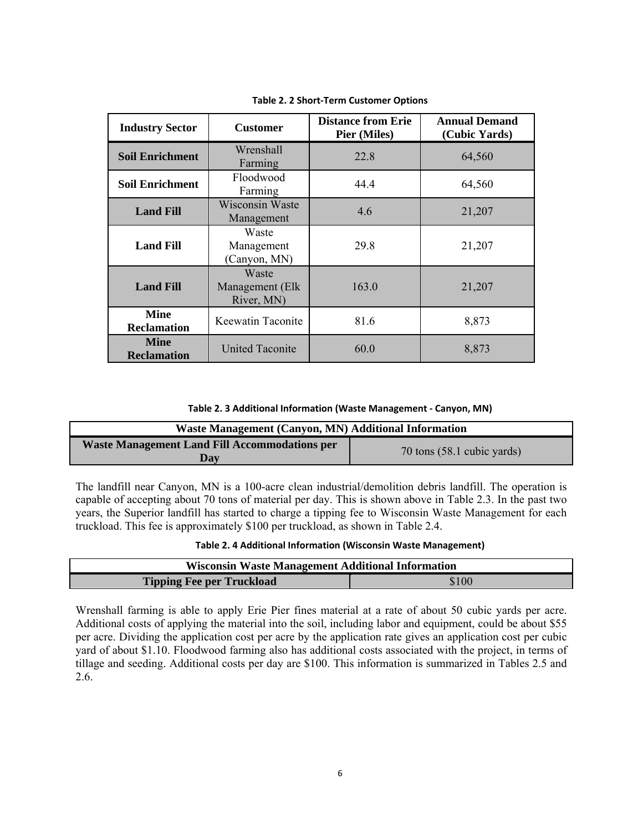| <b>Industry Sector</b>            | <b>Customer</b>                        | <b>Distance from Erie</b><br><b>Pier (Miles)</b> | <b>Annual Demand</b><br>(Cubic Yards) |
|-----------------------------------|----------------------------------------|--------------------------------------------------|---------------------------------------|
| <b>Soil Enrichment</b>            | Wrenshall<br>Farming                   | 22.8                                             | 64,560                                |
| <b>Soil Enrichment</b>            | Floodwood<br>Farming                   | 44.4                                             | 64,560                                |
| <b>Land Fill</b>                  | <b>Wisconsin Waste</b><br>Management   | 4.6                                              | 21,207                                |
| <b>Land Fill</b>                  | Waste<br>Management<br>(Canyon, MN)    | 29.8                                             | 21,207                                |
| <b>Land Fill</b>                  | Waste<br>Management (Elk<br>River, MN) | 163.0                                            | 21,207                                |
| <b>Mine</b><br><b>Reclamation</b> | Keewatin Taconite                      | 81.6                                             | 8,873                                 |
| <b>Mine</b><br><b>Reclamation</b> | <b>United Taconite</b>                 | 60.0                                             | 8,873                                 |

**Table 2. 2 Short‐Term Customer Options**

**Table 2. 3 Additional Information (Waste Management ‐ Canyon, MN)**

| Waste Management (Canyon, MN) Additional Information        |                            |  |
|-------------------------------------------------------------|----------------------------|--|
| <b>Waste Management Land Fill Accommodations per</b><br>Dav | 70 tons (58.1 cubic yards) |  |

The landfill near Canyon, MN is a 100-acre clean industrial/demolition debris landfill. The operation is capable of accepting about 70 tons of material per day. This is shown above in Table 2.3. In the past two years, the Superior landfill has started to charge a tipping fee to Wisconsin Waste Management for each truckload. This fee is approximately \$100 per truckload, as shown in Table 2.4.

**Table 2. 4 Additional Information (Wisconsin Waste Management)**

| <b>Wisconsin Waste Management Additional Information</b> |  |  |
|----------------------------------------------------------|--|--|
| \$100<br><b>Tipping Fee per Truckload</b>                |  |  |

Wrenshall farming is able to apply Erie Pier fines material at a rate of about 50 cubic yards per acre. Additional costs of applying the material into the soil, including labor and equipment, could be about \$55 per acre. Dividing the application cost per acre by the application rate gives an application cost per cubic yard of about \$1.10. Floodwood farming also has additional costs associated with the project, in terms of tillage and seeding. Additional costs per day are \$100. This information is summarized in Tables 2.5 and 2.6.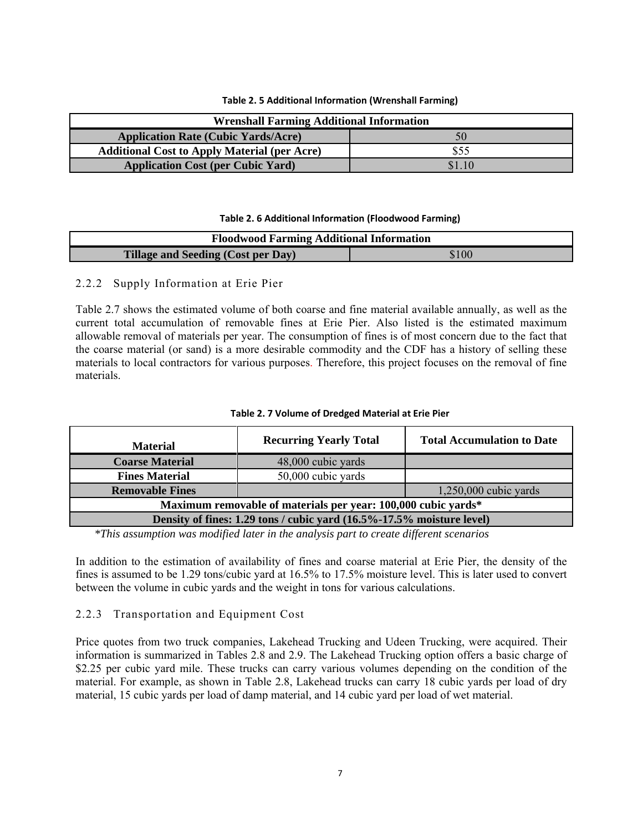| <b>Wrenshall Farming Additional Information</b>     |      |  |
|-----------------------------------------------------|------|--|
| <b>Application Rate (Cubic Yards/Acre)</b><br>50    |      |  |
| <b>Additional Cost to Apply Material (per Acre)</b> | \$55 |  |
| <b>Application Cost (per Cubic Yard)</b>            |      |  |

#### **Table 2. 6 Additional Information (Floodwood Farming)**

| <b>Floodwood Farming Additional Information</b> |       |  |
|-------------------------------------------------|-------|--|
| Tillage and Seeding (Cost per Day)              | \$100 |  |

### 2.2.2 Supply Information at Erie Pier

Table 2.7 shows the estimated volume of both coarse and fine material available annually, as well as the current total accumulation of removable fines at Erie Pier. Also listed is the estimated maximum allowable removal of materials per year. The consumption of fines is of most concern due to the fact that the coarse material (or sand) is a more desirable commodity and the CDF has a history of selling these materials to local contractors for various purposes. Therefore, this project focuses on the removal of fine materials.

| <b>Material</b>                                                       | <b>Recurring Yearly Total</b> | <b>Total Accumulation to Date</b> |  |
|-----------------------------------------------------------------------|-------------------------------|-----------------------------------|--|
| <b>Coarse Material</b>                                                | 48,000 cubic yards            |                                   |  |
| <b>Fines Material</b>                                                 | 50,000 cubic yards            |                                   |  |
| <b>Removable Fines</b>                                                |                               | $1,250,000$ cubic yards           |  |
| Maximum removable of materials per year: 100,000 cubic yards*         |                               |                                   |  |
| Density of fines: 1.29 tons / cubic yard (16.5%-17.5% moisture level) |                               |                                   |  |
|                                                                       |                               |                                   |  |

#### **Table 2. 7 Volume of Dredged Material at Erie Pier**

*\*This assumption was modified later in the analysis part to create different scenarios* 

In addition to the estimation of availability of fines and coarse material at Erie Pier, the density of the fines is assumed to be 1.29 tons/cubic yard at 16.5% to 17.5% moisture level. This is later used to convert between the volume in cubic yards and the weight in tons for various calculations.

## 2.2.3 Transportation and Equipment Cost

Price quotes from two truck companies, Lakehead Trucking and Udeen Trucking, were acquired. Their information is summarized in Tables 2.8 and 2.9. The Lakehead Trucking option offers a basic charge of \$2.25 per cubic yard mile. These trucks can carry various volumes depending on the condition of the material. For example, as shown in Table 2.8, Lakehead trucks can carry 18 cubic yards per load of dry material, 15 cubic yards per load of damp material, and 14 cubic yard per load of wet material.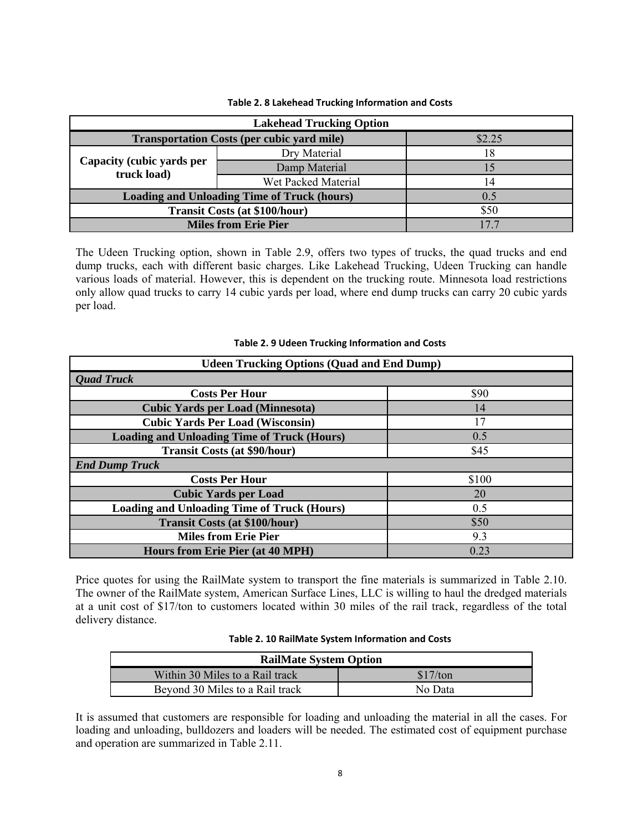| <b>Lakehead Trucking Option</b>                    |                     |    |  |  |
|----------------------------------------------------|---------------------|----|--|--|
| <b>Transportation Costs (per cubic yard mile)</b>  | \$2.25              |    |  |  |
| Capacity (cubic yards per<br>truck load)           | Dry Material        | 18 |  |  |
|                                                    | Damp Material       | 15 |  |  |
|                                                    | Wet Packed Material | 14 |  |  |
| <b>Loading and Unloading Time of Truck (hours)</b> | 0.5                 |    |  |  |
| <b>Transit Costs (at \$100/hour)</b>               | \$50                |    |  |  |
| <b>Miles from Erie Pier</b>                        | 177                 |    |  |  |

#### **Table 2. 8 Lakehead Trucking Information and Costs**

The Udeen Trucking option, shown in Table 2.9, offers two types of trucks, the quad trucks and end dump trucks, each with different basic charges. Like Lakehead Trucking, Udeen Trucking can handle various loads of material. However, this is dependent on the trucking route. Minnesota load restrictions only allow quad trucks to carry 14 cubic yards per load, where end dump trucks can carry 20 cubic yards per load.

## **Udeen Trucking Options (Quad and End Dump)**  *Quad Truck* **Costs Per Hour** 590 **Cubic Yards per Load (Minnesota)** 14 **Cubic Yards Per Load (Wisconsin)** 17 **Loading and Unloading Time of Truck (Hours)** 0.5 **Transit Costs (at \$90/hour)** \$45 *End Dump Truck*  **Costs Per Hour** \$100 **Cubic Yards per Load** 20 **Loading and Unloading Time of Truck (Hours)** 0.5 **Transit Costs (at \$100/hour) \$50 Miles from Erie Pier** 9.3 **Hours from Erie Pier (at 40 MPH)** 0.23

#### **Table 2. 9 Udeen Trucking Information and Costs**

Price quotes for using the RailMate system to transport the fine materials is summarized in Table 2.10. The owner of the RailMate system, American Surface Lines, LLC is willing to haul the dredged materials at a unit cost of \$17/ton to customers located within 30 miles of the rail track, regardless of the total delivery distance.

#### **Table 2. 10 RailMate System Information and Costs**

| <b>RailMate System Option</b>   |          |  |  |
|---------------------------------|----------|--|--|
| Within 30 Miles to a Rail track | \$17/ton |  |  |
| Beyond 30 Miles to a Rail track | No Data  |  |  |

It is assumed that customers are responsible for loading and unloading the material in all the cases. For loading and unloading, bulldozers and loaders will be needed. The estimated cost of equipment purchase and operation are summarized in Table 2.11.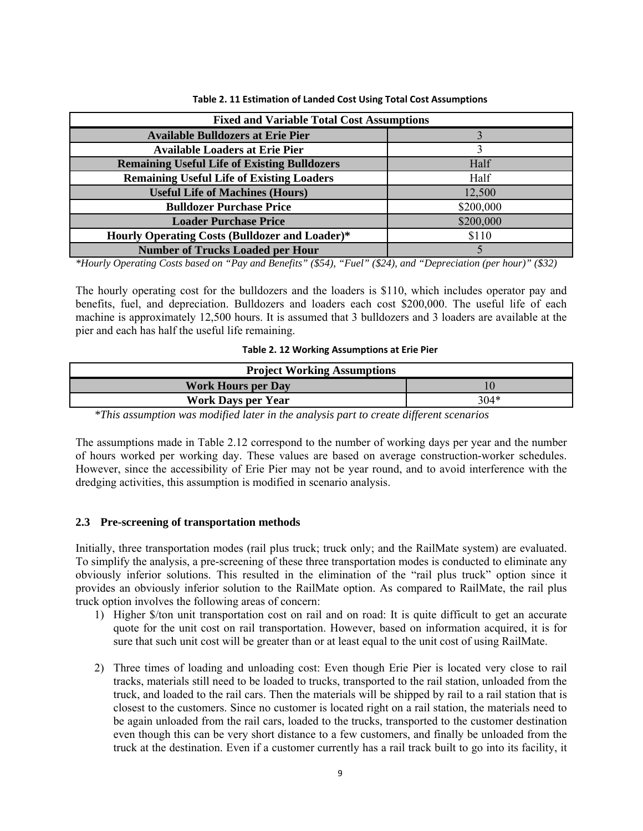| Table 2. 11 Estimation of Landed Cost Using Total Cost Assumptions |  |
|--------------------------------------------------------------------|--|
|--------------------------------------------------------------------|--|

| <b>Fixed and Variable Total Cost Assumptions</b>      |           |  |  |
|-------------------------------------------------------|-----------|--|--|
| <b>Available Bulldozers at Erie Pier</b>              |           |  |  |
| <b>Available Loaders at Erie Pier</b>                 |           |  |  |
| <b>Remaining Useful Life of Existing Bulldozers</b>   | Half      |  |  |
| <b>Remaining Useful Life of Existing Loaders</b>      | Half      |  |  |
| <b>Useful Life of Machines (Hours)</b>                | 12,500    |  |  |
| <b>Bulldozer Purchase Price</b>                       | \$200,000 |  |  |
| <b>Loader Purchase Price</b>                          | \$200,000 |  |  |
| <b>Hourly Operating Costs (Bulldozer and Loader)*</b> | \$110     |  |  |
| <b>Number of Trucks Loaded per Hour</b>               |           |  |  |

*\*Hourly Operating Costs based on "Pay and Benefits" (\$54), "Fuel" (\$24), and "Depreciation (per hour)" (\$32)* 

The hourly operating cost for the bulldozers and the loaders is \$110, which includes operator pay and benefits, fuel, and depreciation. Bulldozers and loaders each cost \$200,000. The useful life of each machine is approximately 12,500 hours. It is assumed that 3 bulldozers and 3 loaders are available at the pier and each has half the useful life remaining.

#### **Table 2. 12 Working Assumptions at Erie Pier**

| <b>Project Working Assumptions</b>                                                                                                   |  |  |  |  |
|--------------------------------------------------------------------------------------------------------------------------------------|--|--|--|--|
| <b>Work Hours per Day</b>                                                                                                            |  |  |  |  |
| $304*$<br><b>Work Days per Year</b>                                                                                                  |  |  |  |  |
| $\mathbf{1} \cdot \mathbf{A}$ $\mathbf{1} \cdot \mathbf{1}$ $\mathbf{1} \cdot \mathbf{1}$<br>1.7777<br>$\mathbf{F} \cdot \mathbf{G}$ |  |  |  |  |

*\*This assumption was modified later in the analysis part to create different scenarios* 

The assumptions made in Table 2.12 correspond to the number of working days per year and the number of hours worked per working day. These values are based on average construction-worker schedules. However, since the accessibility of Erie Pier may not be year round, and to avoid interference with the dredging activities, this assumption is modified in scenario analysis.

### **2.3 Pre-screening of transportation methods**

Initially, three transportation modes (rail plus truck; truck only; and the RailMate system) are evaluated. To simplify the analysis, a pre-screening of these three transportation modes is conducted to eliminate any obviously inferior solutions. This resulted in the elimination of the "rail plus truck" option since it provides an obviously inferior solution to the RailMate option. As compared to RailMate, the rail plus truck option involves the following areas of concern:

- 1) Higher \$/ton unit transportation cost on rail and on road: It is quite difficult to get an accurate quote for the unit cost on rail transportation. However, based on information acquired, it is for sure that such unit cost will be greater than or at least equal to the unit cost of using RailMate.
- 2) Three times of loading and unloading cost: Even though Erie Pier is located very close to rail tracks, materials still need to be loaded to trucks, transported to the rail station, unloaded from the truck, and loaded to the rail cars. Then the materials will be shipped by rail to a rail station that is closest to the customers. Since no customer is located right on a rail station, the materials need to be again unloaded from the rail cars, loaded to the trucks, transported to the customer destination even though this can be very short distance to a few customers, and finally be unloaded from the truck at the destination. Even if a customer currently has a rail track built to go into its facility, it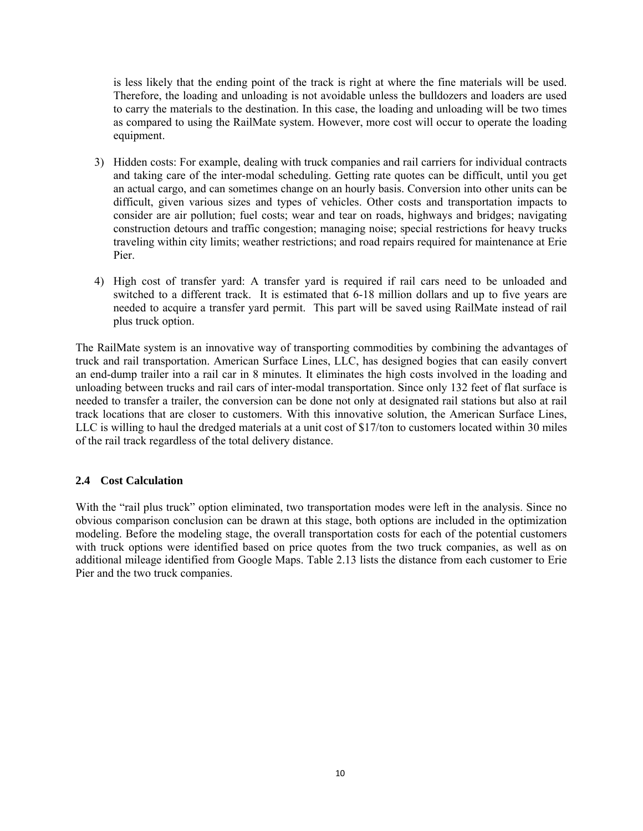is less likely that the ending point of the track is right at where the fine materials will be used. Therefore, the loading and unloading is not avoidable unless the bulldozers and loaders are used to carry the materials to the destination. In this case, the loading and unloading will be two times as compared to using the RailMate system. However, more cost will occur to operate the loading equipment.

- 3) Hidden costs: For example, dealing with truck companies and rail carriers for individual contracts and taking care of the inter-modal scheduling. Getting rate quotes can be difficult, until you get an actual cargo, and can sometimes change on an hourly basis. Conversion into other units can be difficult, given various sizes and types of vehicles. Other costs and transportation impacts to consider are air pollution; fuel costs; wear and tear on roads, highways and bridges; navigating construction detours and traffic congestion; managing noise; special restrictions for heavy trucks traveling within city limits; weather restrictions; and road repairs required for maintenance at Erie Pier.
- 4) High cost of transfer yard: A transfer yard is required if rail cars need to be unloaded and switched to a different track. It is estimated that  $6-18$  million dollars and up to five years are needed to acquire a transfer yard permit. This part will be saved using RailMate instead of rail plus truck option.

The RailMate system is an innovative way of transporting commodities by combining the advantages of truck and rail transportation. American Surface Lines, LLC, has designed bogies that can easily convert an end-dump trailer into a rail car in 8 minutes. It eliminates the high costs involved in the loading and unloading between trucks and rail cars of inter-modal transportation. Since only 132 feet of flat surface is needed to transfer a trailer, the conversion can be done not only at designated rail stations but also at rail track locations that are closer to customers. With this innovative solution, the American Surface Lines, LLC is willing to haul the dredged materials at a unit cost of \$17/ton to customers located within 30 miles of the rail track regardless of the total delivery distance.

### **2.4 Cost Calculation**

With the "rail plus truck" option eliminated, two transportation modes were left in the analysis. Since no obvious comparison conclusion can be drawn at this stage, both options are included in the optimization modeling. Before the modeling stage, the overall transportation costs for each of the potential customers with truck options were identified based on price quotes from the two truck companies, as well as on additional mileage identified from Google Maps. Table 2.13 lists the distance from each customer to Erie Pier and the two truck companies.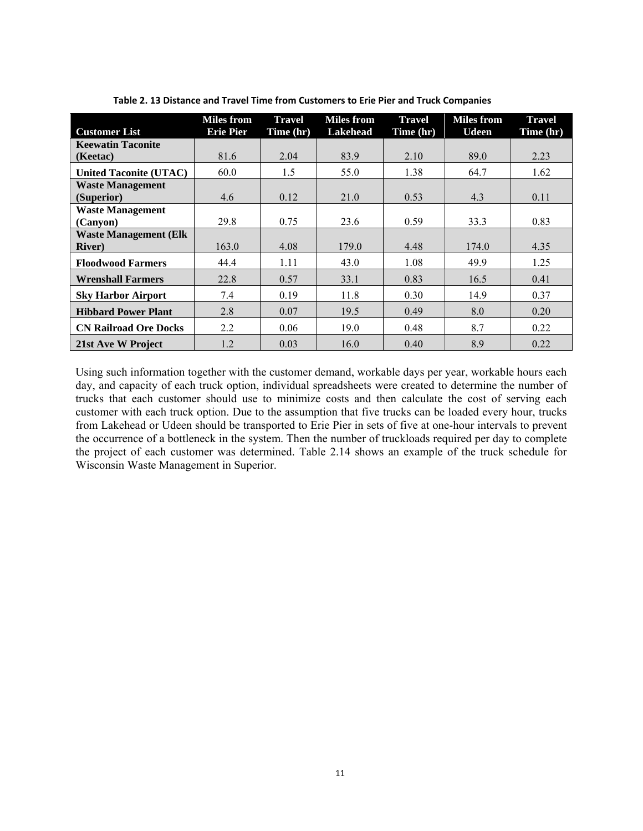|                               | <b>Miles from</b> | <b>Travel</b> | <b>Miles</b> from | <b>Travel</b> | <b>Miles</b> from | <b>Travel</b> |
|-------------------------------|-------------------|---------------|-------------------|---------------|-------------------|---------------|
| <b>Customer List</b>          | <b>Erie Pier</b>  | Time (hr)     | <b>Lakehead</b>   | Time (hr)     | <b>Udeen</b>      | Time (hr)     |
| <b>Keewatin Taconite</b>      |                   |               |                   |               |                   |               |
| (Keetac)                      | 81.6              | 2.04          | 83.9              | 2.10          | 89.0              | 2.23          |
| <b>United Taconite (UTAC)</b> | 60.0              | 1.5           | 55.0              | 1.38          | 64.7              | 1.62          |
| <b>Waste Management</b>       |                   |               |                   |               |                   |               |
| (Superior)                    | 4.6               | 0.12          | 21.0              | 0.53          | 4.3               | 0.11          |
| <b>Waste Management</b>       |                   |               |                   |               |                   |               |
| (Canyon)                      | 29.8              | 0.75          | 23.6              | 0.59          | 33.3              | 0.83          |
| <b>Waste Management (Elk</b>  |                   |               |                   |               |                   |               |
| <b>River</b> )                | 163.0             | 4.08          | 179.0             | 4.48          | 174.0             | 4.35          |
| <b>Floodwood Farmers</b>      | 44.4              | 1.11          | 43.0              | 1.08          | 49.9              | 1.25          |
| <b>Wrenshall Farmers</b>      | 22.8              | 0.57          | 33.1              | 0.83          | 16.5              | 0.41          |
| <b>Sky Harbor Airport</b>     | 7.4               | 0.19          | 11.8              | 0.30          | 14.9              | 0.37          |
| <b>Hibbard Power Plant</b>    | 2.8               | 0.07          | 19.5              | 0.49          | 8.0               | 0.20          |
| <b>CN Railroad Ore Docks</b>  | 2.2               | 0.06          | 19.0              | 0.48          | 8.7               | 0.22          |
| 21st Ave W Project            | 1.2               | 0.03          | 16.0              | 0.40          | 8.9               | 0.22          |

**Table 2. 13 Distance and Travel Time from Customers to Erie Pier and Truck Companies**

Using such information together with the customer demand, workable days per year, workable hours each day, and capacity of each truck option, individual spreadsheets were created to determine the number of trucks that each customer should use to minimize costs and then calculate the cost of serving each customer with each truck option. Due to the assumption that five trucks can be loaded every hour, trucks from Lakehead or Udeen should be transported to Erie Pier in sets of five at one-hour intervals to prevent the occurrence of a bottleneck in the system. Then the number of truckloads required per day to complete the project of each customer was determined. Table 2.14 shows an example of the truck schedule for Wisconsin Waste Management in Superior.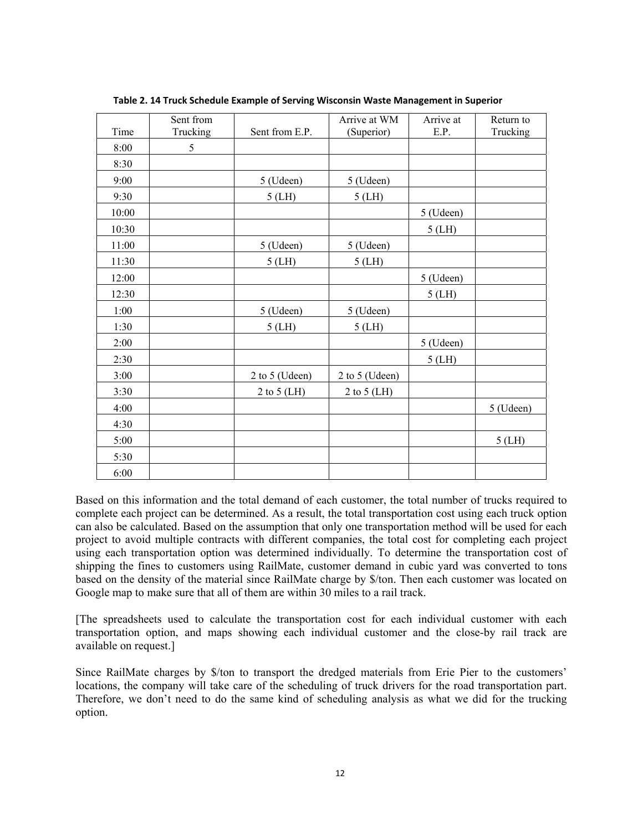|       | Sent from |                | Arrive at WM   | Arrive at | Return to |
|-------|-----------|----------------|----------------|-----------|-----------|
| Time  | Trucking  | Sent from E.P. | (Superior)     | E.P.      | Trucking  |
| 8:00  | 5         |                |                |           |           |
| 8:30  |           |                |                |           |           |
| 9:00  |           | 5 (Udeen)      | 5 (Udeen)      |           |           |
| 9:30  |           | $5$ (LH)       | $5$ (LH)       |           |           |
| 10:00 |           |                |                | 5 (Udeen) |           |
| 10:30 |           |                |                | $5$ (LH)  |           |
| 11:00 |           | 5 (Udeen)      | 5 (Udeen)      |           |           |
| 11:30 |           | $5$ (LH)       | $5$ (LH)       |           |           |
| 12:00 |           |                |                | 5 (Udeen) |           |
| 12:30 |           |                |                | $5$ (LH)  |           |
| 1:00  |           | 5 (Udeen)      | 5 (Udeen)      |           |           |
| 1:30  |           | $5$ (LH)       | $5$ (LH)       |           |           |
| 2:00  |           |                |                | 5 (Udeen) |           |
| 2:30  |           |                |                | $5$ (LH)  |           |
| 3:00  |           | 2 to 5 (Udeen) | 2 to 5 (Udeen) |           |           |
| 3:30  |           | 2 to 5 $(LH)$  | 2 to 5 (LH)    |           |           |
| 4:00  |           |                |                |           | 5 (Udeen) |
| 4:30  |           |                |                |           |           |
| 5:00  |           |                |                |           | $5$ (LH)  |
| 5:30  |           |                |                |           |           |
| 6:00  |           |                |                |           |           |

**Table 2. 14 Truck Schedule Example of Serving Wisconsin Waste Management in Superior**

Based on this information and the total demand of each customer, the total number of trucks required to complete each project can be determined. As a result, the total transportation cost using each truck option can also be calculated. Based on the assumption that only one transportation method will be used for each project to avoid multiple contracts with different companies, the total cost for completing each project using each transportation option was determined individually. To determine the transportation cost of shipping the fines to customers using RailMate, customer demand in cubic yard was converted to tons based on the density of the material since RailMate charge by \$/ton. Then each customer was located on Google map to make sure that all of them are within 30 miles to a rail track.

[The spreadsheets used to calculate the transportation cost for each individual customer with each transportation option, and maps showing each individual customer and the close-by rail track are available on request.]

Since RailMate charges by \$/ton to transport the dredged materials from Erie Pier to the customers' locations, the company will take care of the scheduling of truck drivers for the road transportation part. Therefore, we don't need to do the same kind of scheduling analysis as what we did for the trucking option.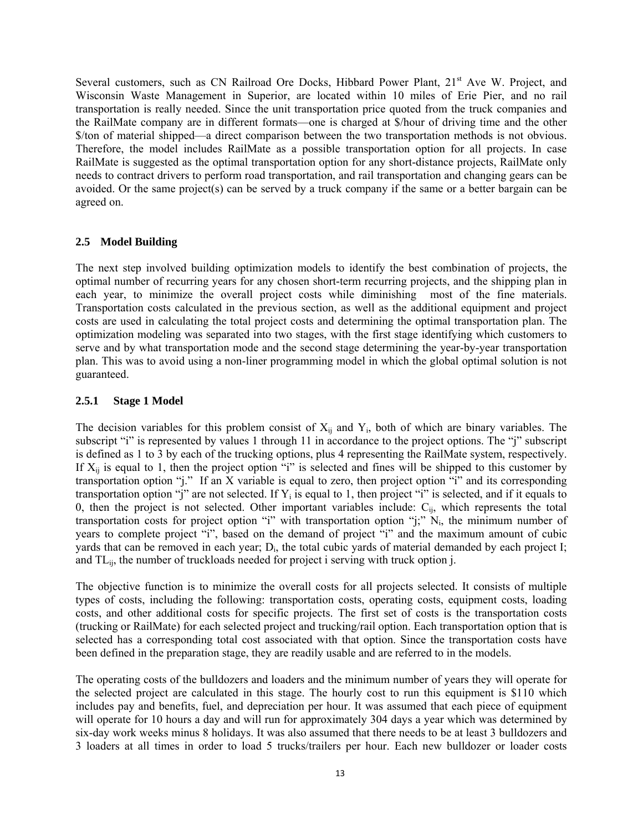Several customers, such as CN Railroad Ore Docks, Hibbard Power Plant, 21<sup>st</sup> Ave W. Project, and Wisconsin Waste Management in Superior, are located within 10 miles of Erie Pier, and no rail transportation is really needed. Since the unit transportation price quoted from the truck companies and the RailMate company are in different formats—one is charged at \$/hour of driving time and the other \$/ton of material shipped—a direct comparison between the two transportation methods is not obvious. Therefore, the model includes RailMate as a possible transportation option for all projects. In case RailMate is suggested as the optimal transportation option for any short-distance projects, RailMate only needs to contract drivers to perform road transportation, and rail transportation and changing gears can be avoided. Or the same project(s) can be served by a truck company if the same or a better bargain can be agreed on.

## **2.5 Model Building**

The next step involved building optimization models to identify the best combination of projects, the optimal number of recurring years for any chosen short-term recurring projects, and the shipping plan in each year, to minimize the overall project costs while diminishing most of the fine materials. Transportation costs calculated in the previous section, as well as the additional equipment and project costs are used in calculating the total project costs and determining the optimal transportation plan. The optimization modeling was separated into two stages, with the first stage identifying which customers to serve and by what transportation mode and the second stage determining the year-by-year transportation plan. This was to avoid using a non-liner programming model in which the global optimal solution is not guaranteed.

## **2.5.1 Stage 1 Model**

The decision variables for this problem consist of  $X_{ii}$  and  $Y_i$ , both of which are binary variables. The subscript "i" is represented by values 1 through 11 in accordance to the project options. The "j" subscript is defined as 1 to 3 by each of the trucking options, plus 4 representing the RailMate system, respectively. If  $X_{ii}$  is equal to 1, then the project option "i" is selected and fines will be shipped to this customer by transportation option "j." If an X variable is equal to zero, then project option "i" and its corresponding transportation option "j" are not selected. If  $Y_i$  is equal to 1, then project "i" is selected, and if it equals to 0, then the project is not selected. Other important variables include:  $C_{ii}$ , which represents the total transportation costs for project option "i" with transportation option "j;"  $N_i$ , the minimum number of years to complete project "i", based on the demand of project "i" and the maximum amount of cubic yards that can be removed in each year; D<sub>i</sub>, the total cubic yards of material demanded by each project I; and TLij, the number of truckloads needed for project i serving with truck option j.

The objective function is to minimize the overall costs for all projects selected. It consists of multiple types of costs, including the following: transportation costs, operating costs, equipment costs, loading costs, and other additional costs for specific projects. The first set of costs is the transportation costs (trucking or RailMate) for each selected project and trucking/rail option. Each transportation option that is selected has a corresponding total cost associated with that option. Since the transportation costs have been defined in the preparation stage, they are readily usable and are referred to in the models.

The operating costs of the bulldozers and loaders and the minimum number of years they will operate for the selected project are calculated in this stage. The hourly cost to run this equipment is \$110 which includes pay and benefits, fuel, and depreciation per hour. It was assumed that each piece of equipment will operate for 10 hours a day and will run for approximately 304 days a year which was determined by six-day work weeks minus 8 holidays. It was also assumed that there needs to be at least 3 bulldozers and 3 loaders at all times in order to load 5 trucks/trailers per hour. Each new bulldozer or loader costs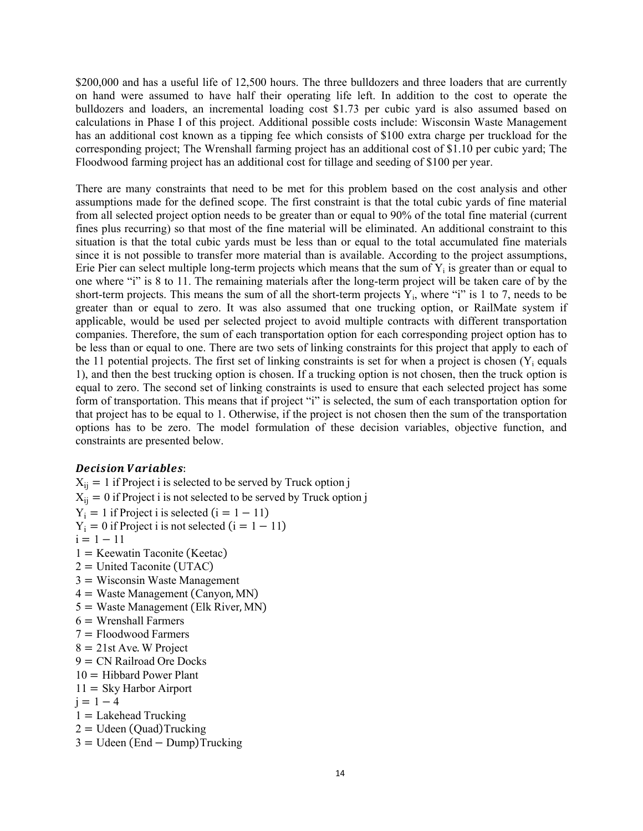\$200,000 and has a useful life of 12,500 hours. The three bulldozers and three loaders that are currently on hand were assumed to have half their operating life left. In addition to the cost to operate the bulldozers and loaders, an incremental loading cost \$1.73 per cubic yard is also assumed based on calculations in Phase I of this project. Additional possible costs include: Wisconsin Waste Management has an additional cost known as a tipping fee which consists of \$100 extra charge per truckload for the corresponding project; The Wrenshall farming project has an additional cost of \$1.10 per cubic yard; The Floodwood farming project has an additional cost for tillage and seeding of \$100 per year.

There are many constraints that need to be met for this problem based on the cost analysis and other assumptions made for the defined scope. The first constraint is that the total cubic yards of fine material from all selected project option needs to be greater than or equal to 90% of the total fine material (current fines plus recurring) so that most of the fine material will be eliminated. An additional constraint to this situation is that the total cubic yards must be less than or equal to the total accumulated fine materials since it is not possible to transfer more material than is available. According to the project assumptions, Erie Pier can select multiple long-term projects which means that the sum of  $Y_i$  is greater than or equal to one where "i" is 8 to 11. The remaining materials after the long-term project will be taken care of by the short-term projects. This means the sum of all the short-term projects  $Y_i$ , where "i" is 1 to 7, needs to be greater than or equal to zero. It was also assumed that one trucking option, or RailMate system if applicable, would be used per selected project to avoid multiple contracts with different transportation companies. Therefore, the sum of each transportation option for each corresponding project option has to be less than or equal to one. There are two sets of linking constraints for this project that apply to each of the 11 potential projects. The first set of linking constraints is set for when a project is chosen  $(Y_i)$  equals 1), and then the best trucking option is chosen. If a trucking option is not chosen, then the truck option is equal to zero. The second set of linking constraints is used to ensure that each selected project has some form of transportation. This means that if project "i" is selected, the sum of each transportation option for that project has to be equal to 1. Otherwise, if the project is not chosen then the sum of the transportation options has to be zero. The model formulation of these decision variables, objective function, and constraints are presented below.

### Decision Variables:

 $X_{ij} = 1$  if Project i is selected to be served by Truck option j  $X_{ij} = 0$  if Project i is not selected to be served by Truck option j  $Y_i = 1$  if Project i is selected  $(i = 1 - 11)$  $Y_i = 0$  if Project i is not selected  $(i = 1 - 11)$  $i = 1 - 11$  $1 =$  Keewatin Taconite (Keetac)  $2 =$  United Taconite (UTAC)  $3 =$  Wisconsin Waste Management  $4 =$  Waste Management (Canyon, MN)  $5 =$  Waste Management (Elk River, MN)  $6 =$  Wrenshall Farmers  $7 =$  Floodwood Farmers  $8 = 21$ st Ave. W Project  $9 = CN$  Railroad Ore Docks  $10 =$  Hibbard Power Plant  $11 =$  Sky Harbor Airport  $j = 1 - 4$  $1 =$  Lakehead Trucking  $2 = U$ deen (Quad)Trucking  $3 = U$ deen (End – Dump)Trucking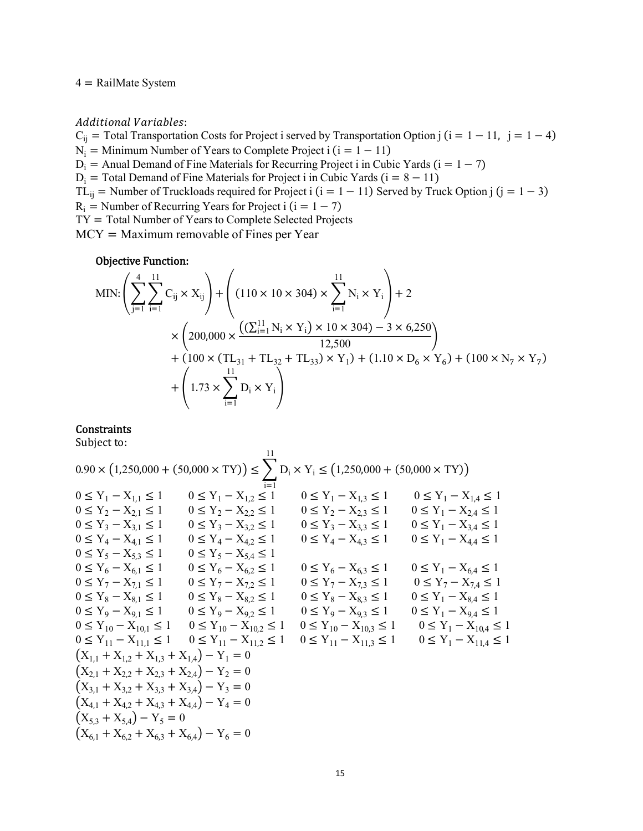$4 =$  RailMate System

Additional Variables:

C<sub>ij</sub> = Total Transportation Costs for Project i served by Transportation Option j  $(i = 1 - 11, j = 1 - 4)$  $N_i$  = Minimum Number of Years to Complete Project i  $(i = 1 - 11)$  $D_i$  = Anual Demand of Fine Materials for Recurring Project i in Cubic Yards ( $i = 1 - 7$ )  $D_i$  = Total Demand of Fine Materials for Project i in Cubic Yards  $(i = 8 - 11)$ TL<sub>ij</sub> = Number of Truckloads required for Project i  $(i = 1 - 11)$  Served by Truck Option j  $(j = 1 - 3)$  $R_i$  = Number of Recurring Years for Project i  $(i = 1 - 7)$  $TY = Total Number of Years to Complete Selected Projects$  $MCY = Maximum$  removable of Fines per Year

#### Objective Function:

MIN: 
$$
\left(\sum_{j=1}^{4} \sum_{i=1}^{11} C_{ij} \times X_{ij}\right) + \left((110 \times 10 \times 304) \times \sum_{i=1}^{11} N_{i} \times Y_{i}\right) + 2
$$
  
  $\times \left(200,000 \times \frac{(\sum_{i=1}^{11} N_{i} \times Y_{i}) \times 10 \times 304) - 3 \times 6,250}{12,500}\right) + (100 \times (TL_{31} + TL_{32} + TL_{33}) \times Y_{1}) + (1.10 \times D_{6} \times Y_{6}) + (100 \times N_{7} \times Y_{7}) + \left(1.73 \times \sum_{i=1}^{11} D_{i} \times Y_{i}\right)$ 

## **Constraints**

Subject to:

$$
0.90 \times (1,250,000 + (50,000 \times TY)) \le \sum_{i=1}^{11} D_i \times Y_i \le (1,250,000 + (50,000 \times TY))
$$
  
\n
$$
0 \le Y_1 - X_{1,1} \le 1 \qquad 0 \le Y_1 - X_{1,2} \le 1 \qquad 0 \le Y_1 - X_{1,3} \le 1 \qquad 0 \le Y_1 - X_{1,4} \le 1
$$
  
\n
$$
0 \le Y_2 - X_{2,1} \le 1 \qquad 0 \le Y_2 - X_{2,2} \le 1 \qquad 0 \le Y_2 - X_{2,3} \le 1 \qquad 0 \le Y_1 - X_{2,4} \le 1
$$
  
\n
$$
0 \le Y_3 - X_{3,1} \le 1 \qquad 0 \le Y_3 - X_{3,2} \le 1 \qquad 0 \le Y_3 - X_{3,3} \le 1 \qquad 0 \le Y_1 - X_{3,4} \le 1
$$
  
\n
$$
0 \le Y_4 - X_{4,1} \le 1 \qquad 0 \le Y_4 - X_{4,2} \le 1 \qquad 0 \le Y_4 - X_{4,3} \le 1 \qquad 0 \le Y_1 - X_{4,4} \le 1
$$
  
\n
$$
0 \le Y_5 - X_{5,3} \le 1 \qquad 0 \le Y_5 - X_{5,4} \le 1 \qquad 0 \le Y_6 - X_{6,3} \le 1 \qquad 0 \le Y_1 - X_{6,4} \le 1
$$
  
\n
$$
0 \le Y_6 - X_{6,1} \le 1 \qquad 0 \le Y_7 - X_{7,2} \le 1 \qquad 0 \le Y_6 - X_{6,3} \le 1 \qquad 0 \le Y_1 - X_{7,4} \le 1
$$
  
\n
$$
0 \le Y_8 - X_{8,1} \le 1 \qquad 0 \le Y_8 - X_{8,2} \le 1 \qquad 0 \le Y_9 - X_{7,3} \le 1 \qquad 0 \le Y_1 - X_{7,4} \le 1
$$
  
\n
$$
0 \le Y_9 - X_{9,1} \le 1 \qquad 0 \le Y_9 - X_{9,
$$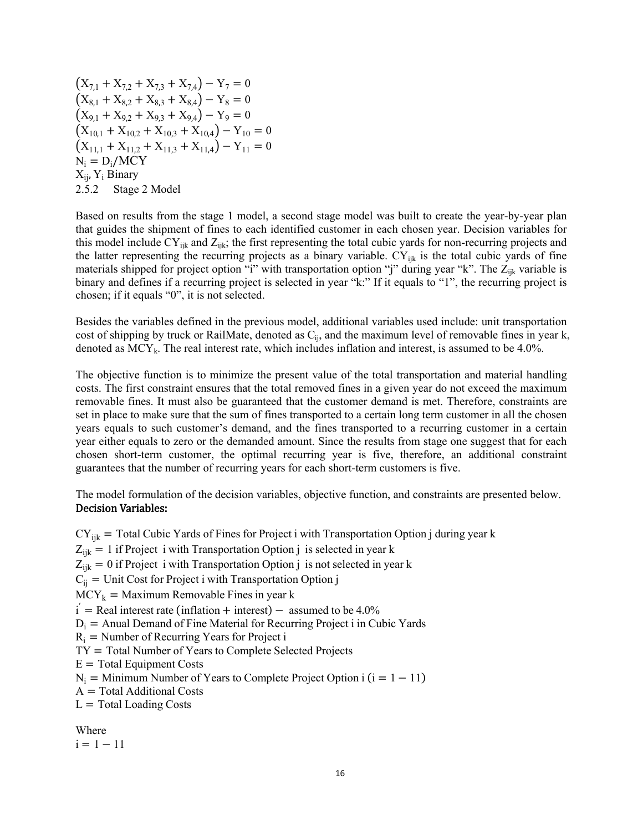$(X_{7,1} + X_{7,2} + X_{7,3} + X_{7,4}) - Y_7 = 0$  $(X_{8,1} + X_{8,2} + X_{8,3} + X_{8,4}) - Y_8 = 0$  $(X_{9,1} + X_{9,2} + X_{9,3} + X_{9,4}) - Y_9 = 0$  $(X_{10,1} + X_{10,2} + X_{10,3} + X_{10,4}) - Y_{10} = 0$  $(X_{11,1} + X_{11,2} + X_{11,3} + X_{11,4}) - Y_{11} = 0$  $N_i = D_i/MCY$  $X_{ii}$ ,  $Y_i$  Binary 2.5.2 Stage 2 Model

Based on results from the stage 1 model, a second stage model was built to create the year-by-year plan that guides the shipment of fines to each identified customer in each chosen year. Decision variables for this model include  $CY_{ijk}$  and  $Z_{ijk}$ ; the first representing the total cubic yards for non-recurring projects and the latter representing the recurring projects as a binary variable.  $CY_{ijk}$  is the total cubic yards of fine materials shipped for project option "i" with transportation option "j" during year "k". The  $Z_{ijk}$  variable is binary and defines if a recurring project is selected in year "k:" If it equals to "1", the recurring project is chosen; if it equals "0", it is not selected.

Besides the variables defined in the previous model, additional variables used include: unit transportation cost of shipping by truck or RailMate, denoted as  $C_{ij}$ , and the maximum level of removable fines in year k, denoted as  $MCY_k$ . The real interest rate, which includes inflation and interest, is assumed to be 4.0%.

The objective function is to minimize the present value of the total transportation and material handling costs. The first constraint ensures that the total removed fines in a given year do not exceed the maximum removable fines. It must also be guaranteed that the customer demand is met. Therefore, constraints are set in place to make sure that the sum of fines transported to a certain long term customer in all the chosen years equals to such customer's demand, and the fines transported to a recurring customer in a certain year either equals to zero or the demanded amount. Since the results from stage one suggest that for each chosen short-term customer, the optimal recurring year is five, therefore, an additional constraint guarantees that the number of recurring years for each short-term customers is five.

The model formulation of the decision variables, objective function, and constraints are presented below. Decision Variables:

 $CY_{ijk}$  = Total Cubic Yards of Fines for Project i with Transportation Option j during year k  $Z_{ijk} = 1$  if Project i with Transportation Option j is selected in year k  $Z_{ijk} = 0$  if Project i with Transportation Option j is not selected in year k  $C_{ii}$  = Unit Cost for Project i with Transportation Option j  $MCY_k =$  Maximum Removable Fines in year k  $i =$ Real interest rate (inflation + interest) – assumed to be 4.0%  $D_i$  = Anual Demand of Fine Material for Recurring Project i in Cubic Yards  $R_i$  = Number of Recurring Years for Project i  $TY = Total Number of Years to Complete Selected Projects$  $E = Total Equipment Costs$  $N_i$  = Minimum Number of Years to Complete Project Option i  $(i = 1 - 11)$  $A = Total Additional Costs$  $L = \text{Total Loading Costs}$ Where  $i = 1 - 11$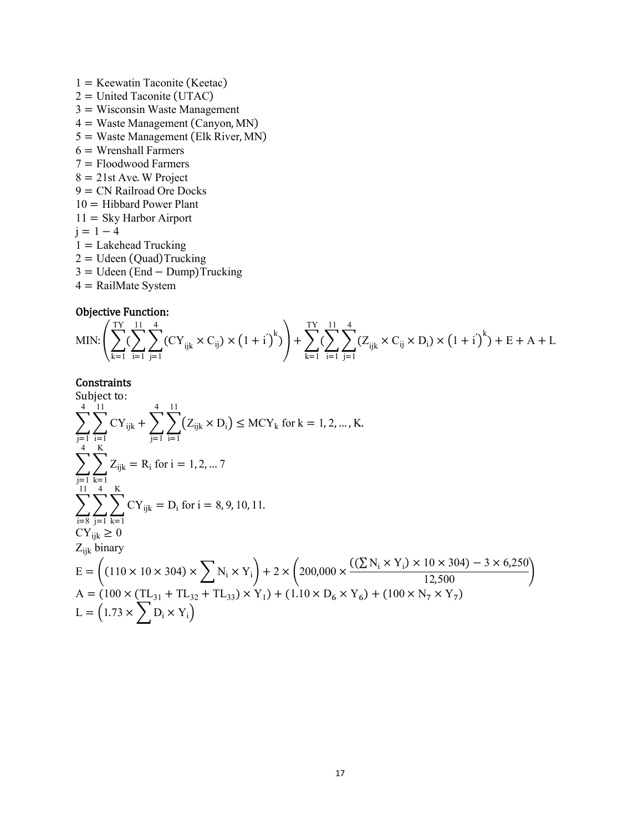$1 =$  Keewatin Taconite (Keetac)  $2 =$  United Taconite (UTAC)  $3 =$  Wisconsin Waste Management  $4 =$  Waste Management (Canyon, MN)  $5 =$  Waste Management (Elk River, MN)  $6 =$  Wrenshall Farmers  $7 =$  Floodwood Farmers  $8 = 21$ st Ave. W Project  $9 = CN$  Railroad Ore Docks  $10 =$  Hibbard Power Plant  $11 =$  Sky Harbor Airport  $j = 1 - 4$  $1 =$  Lakehead Trucking  $2 = U$ deen (Quad)Trucking  $3 = U$ deen (End – Dump)Trucking  $4 =$  RailMate System

#### Objective Function:

$$
MIN: \left( {\sum\limits_{k = 1}^{{\rm{TY}}} {\bigl( {\sum\limits_{i = 1}^{{\rm{T}}} {\sum\limits_{j = 1}^{{\rm{T}}} {\left( {CY_{ijk} \times {C_{ij}}} \right)} \times \left( {1 + i} \right)^k } } \right)} + \sum\limits_{k = 1}^{{\rm{TY}}} {\bigl( {\sum\limits_{i = 1}^{{\rm{T}}} {\sum\limits_{j = 1}^{{\rm{T}}} {\left( {{Z_{ijk}} \times {C_{ij}}} \times {D_i}} \right)} \times \left( {1 + i} \right)^k } \bigr)} + E + A + L
$$

## **Constraints**

Subject to:  
\n
$$
\sum_{j=1}^{4} \sum_{i=1}^{11} CY_{ijk} + \sum_{j=1}^{4} \sum_{i=1}^{11} (Z_{ijk} \times D_i) \leq MCY_k \text{ for } k = 1, 2, ..., K.
$$
\n
$$
\sum_{j=1}^{4} \sum_{k=1}^{K} Z_{ijk} = R_i \text{ for } i = 1, 2, ..., 7
$$
\n
$$
\sum_{i=8}^{11} \sum_{j=1}^{4} \sum_{k=1}^{K} CY_{ijk} = D_i \text{ for } i = 8, 9, 10, 11.
$$
\n
$$
CY_{ijk} \geq 0
$$
\n
$$
Z_{ijk} \text{ binary}
$$
\n
$$
E = \left( (110 \times 10 \times 304) \times \sum_{i=8}^{4} N_i \times Y_i \right) + 2 \times \left( 200,000 \times \frac{((\sum N_i \times Y_i) \times 10 \times 304) - 3 \times 6,250}{12,500} \right)
$$
\n
$$
A = (100 \times (TL_{31} + TL_{32} + TL_{33}) \times Y_1) + (1.10 \times D_6 \times Y_6) + (100 \times N_7 \times Y_7)
$$
\n
$$
L = (1.73 \times \sum D_i \times Y_i)
$$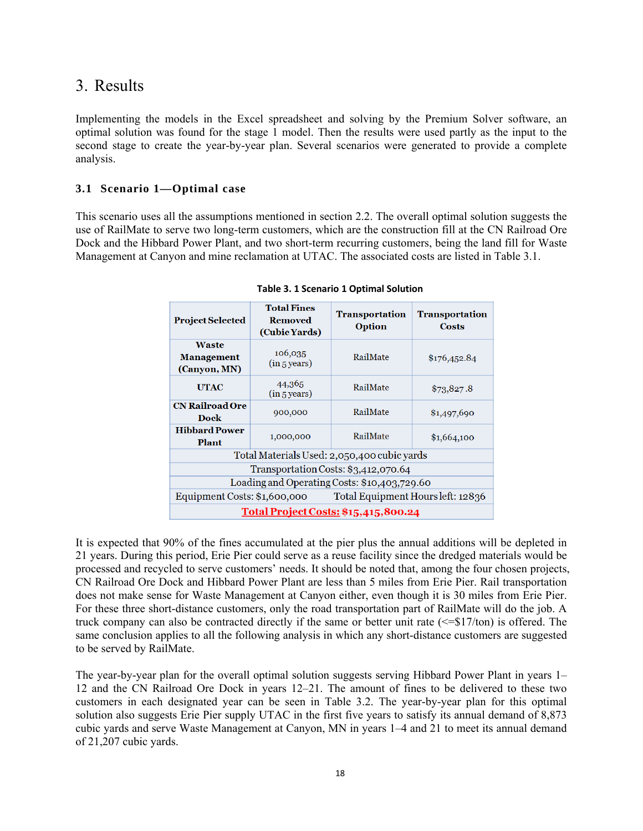## 3. Results

Implementing the models in the Excel spreadsheet and solving by the Premium Solver software, an optimal solution was found for the stage 1 model. Then the results were used partly as the input to the second stage to create the year-by-year plan. Several scenarios were generated to provide a complete analysis.

## **3.1 Scenario 1—Optimal case**

This scenario uses all the assumptions mentioned in section 2.2. The overall optimal solution suggests the use of RailMate to serve two long-term customers, which are the construction fill at the CN Railroad Ore Dock and the Hibbard Power Plant, and two short-term recurring customers, being the land fill for Waste Management at Canyon and mine reclamation at UTAC. The associated costs are listed in Table 3.1.

| <b>Project Selected</b>                                           | <b>Total Fines</b><br><b>Removed</b><br>(Cubic Yards) | <b>Transportation</b><br>Option | <b>Transportation</b><br><b>Costs</b> |  |  |
|-------------------------------------------------------------------|-------------------------------------------------------|---------------------------------|---------------------------------------|--|--|
| <b>Waste</b><br><b>Management</b><br>(Canyon, MN)                 | 106,035<br>(in 5 years)                               | RailMate                        | \$176,452.84                          |  |  |
| <b>UTAC</b>                                                       | 44,365<br>(in 5 years)                                | RailMate                        | \$73,827.8                            |  |  |
| <b>CN Railroad Ore</b><br>Dock                                    | 900,000                                               | RailMate                        | \$1,497,690                           |  |  |
| <b>Hibbard Power</b><br><b>Plant</b>                              | 1,000,000                                             | RailMate                        | \$1,664,100                           |  |  |
|                                                                   | Total Materials Used: 2,050,400 cubic yards           |                                 |                                       |  |  |
| Transportation Costs: \$3,412,070.64                              |                                                       |                                 |                                       |  |  |
| Loading and Operating Costs: \$10,403,729.60                      |                                                       |                                 |                                       |  |  |
| Equipment Costs: \$1,600,000<br>Total Equipment Hours left: 12836 |                                                       |                                 |                                       |  |  |
| Total Project Costs: \$15,415,800.24                              |                                                       |                                 |                                       |  |  |

**Table 3. 1 Scenario 1 Optimal Solution**

It is expected that 90% of the fines accumulated at the pier plus the annual additions will be depleted in 21 years. During this period, Erie Pier could serve as a reuse facility since the dredged materials would be processed and recycled to serve customers' needs. It should be noted that, among the four chosen projects, CN Railroad Ore Dock and Hibbard Power Plant are less than 5 miles from Erie Pier. Rail transportation does not make sense for Waste Management at Canyon either, even though it is 30 miles from Erie Pier. For these three short-distance customers, only the road transportation part of RailMate will do the job. A truck company can also be contracted directly if the same or better unit rate (<=\$17/ton) is offered. The same conclusion applies to all the following analysis in which any short-distance customers are suggested to be served by RailMate.

The year-by-year plan for the overall optimal solution suggests serving Hibbard Power Plant in years 1– 12 and the CN Railroad Ore Dock in years 12–21. The amount of fines to be delivered to these two customers in each designated year can be seen in Table 3.2. The year-by-year plan for this optimal solution also suggests Erie Pier supply UTAC in the first five years to satisfy its annual demand of 8,873 cubic yards and serve Waste Management at Canyon, MN in years 1–4 and 21 to meet its annual demand of 21,207 cubic yards.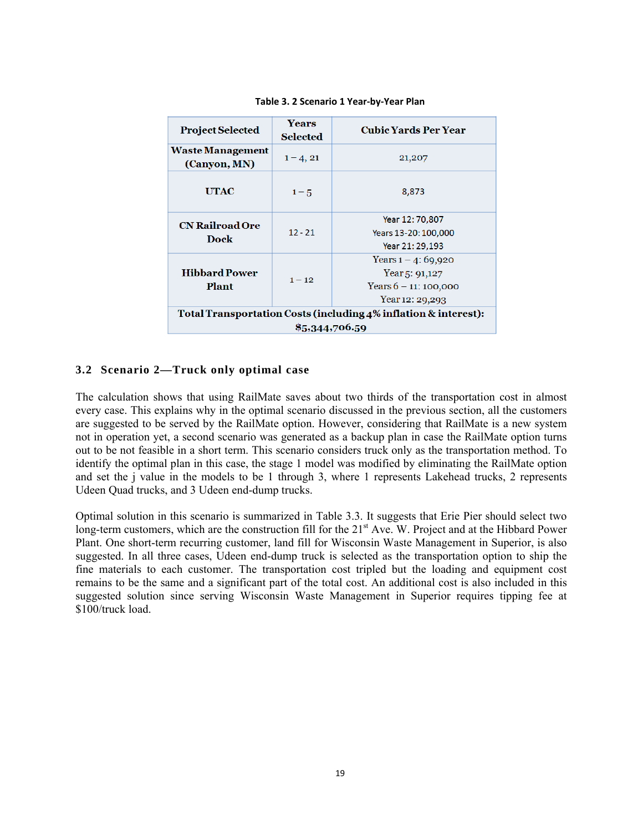| <b>Project Selected</b>                                         | <b>Years</b><br><b>Selected</b> | <b>Cubic Yards Per Year</b>             |  |
|-----------------------------------------------------------------|---------------------------------|-----------------------------------------|--|
| <b>Waste Management</b><br>(Canyon, MN)                         | $1 - 4, 21$                     | 21,207                                  |  |
| <b>UTAC</b>                                                     | $1 - 5$                         | 8,873                                   |  |
| <b>CN Railroad Ore</b><br>Dock                                  | $12 - 21$                       | Year 12: 70,807<br>Years 13-20: 100,000 |  |
|                                                                 |                                 | Year 21: 29.193                         |  |
|                                                                 |                                 | Years $1 - 4$ : 69,920                  |  |
| <b>Hibbard Power</b>                                            | $1 - 12$                        | Year 5: $91,127$                        |  |
| Plant                                                           |                                 | Years $6 - 11$ : 100,000                |  |
|                                                                 |                                 | Year $12: 29,293$                       |  |
| Total Transportation Costs (including 4% inflation & interest): |                                 |                                         |  |
| \$5,344,706.59                                                  |                                 |                                         |  |

**Table 3. 2 Scenario 1 Year‐by‐Year Plan**

## **3.2 Scenario 2—Truck only optimal case**

The calculation shows that using RailMate saves about two thirds of the transportation cost in almost every case. This explains why in the optimal scenario discussed in the previous section, all the customers are suggested to be served by the RailMate option. However, considering that RailMate is a new system not in operation yet, a second scenario was generated as a backup plan in case the RailMate option turns out to be not feasible in a short term. This scenario considers truck only as the transportation method. To identify the optimal plan in this case, the stage 1 model was modified by eliminating the RailMate option and set the j value in the models to be 1 through 3, where 1 represents Lakehead trucks, 2 represents Udeen Quad trucks, and 3 Udeen end-dump trucks.

Optimal solution in this scenario is summarized in Table 3.3. It suggests that Erie Pier should select two long-term customers, which are the construction fill for the 21<sup>st</sup> Ave. W. Project and at the Hibbard Power Plant. One short-term recurring customer, land fill for Wisconsin Waste Management in Superior, is also suggested. In all three cases, Udeen end-dump truck is selected as the transportation option to ship the fine materials to each customer. The transportation cost tripled but the loading and equipment cost remains to be the same and a significant part of the total cost. An additional cost is also included in this suggested solution since serving Wisconsin Waste Management in Superior requires tipping fee at \$100/truck load.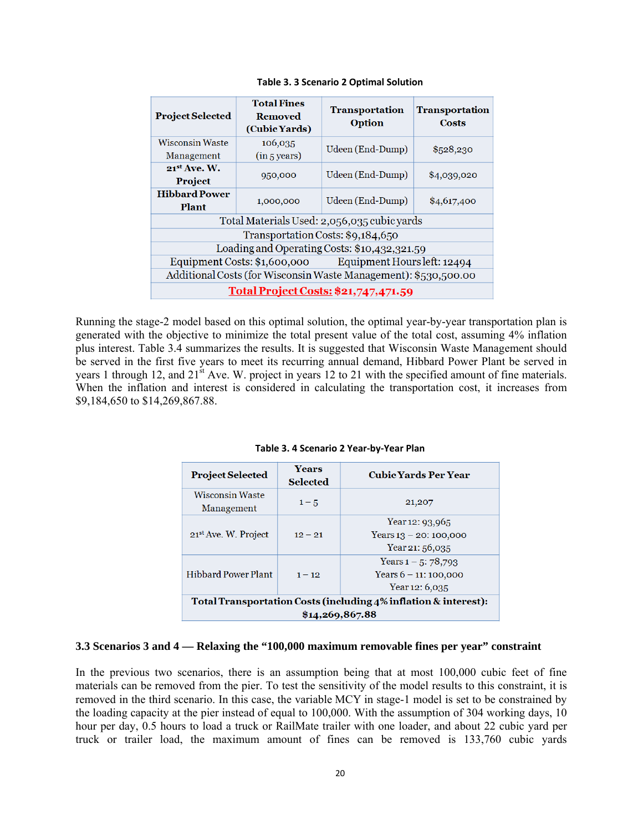| <b>Project Selected</b>                                         | <b>Total Fines</b><br>Removed<br>(Cubic Yards) | <b>Transportation</b><br><b>Option</b> | <b>Transportation</b><br>Costs |  |
|-----------------------------------------------------------------|------------------------------------------------|----------------------------------------|--------------------------------|--|
| <b>Wisconsin Waste</b><br>Management                            | 106,035<br>(in 5 years)                        | Udeen (End-Dump)                       | \$528,230                      |  |
| $21^{st}$ Ave. W.<br>Project                                    | 950,000                                        | Udeen (End-Dump)                       | \$4,039,020                    |  |
| <b>Hibbard Power</b><br><b>Plant</b>                            | 1,000,000                                      | Udeen (End-Dump)                       | \$4,617,400                    |  |
| Total Materials Used: 2,056,035 cubic yards                     |                                                |                                        |                                |  |
| Transportation Costs: \$9,184,650                               |                                                |                                        |                                |  |
| Loading and Operating Costs: \$10,432,321.59                    |                                                |                                        |                                |  |
| Equipment Costs: \$1,600,000 Equipment Hours left: 12494        |                                                |                                        |                                |  |
| Additional Costs (for Wisconsin Waste Management): \$530,500.00 |                                                |                                        |                                |  |
| Total Project Costs: \$21,747,471.59                            |                                                |                                        |                                |  |

**Table 3. 3 Scenario 2 Optimal Solution**

Running the stage-2 model based on this optimal solution, the optimal year-by-year transportation plan is generated with the objective to minimize the total present value of the total cost, assuming 4% inflation plus interest. Table 3.4 summarizes the results. It is suggested that Wisconsin Waste Management should be served in the first five years to meet its recurring annual demand, Hibbard Power Plant be served in years 1 through 12, and 21<sup>st</sup> Ave. W. project in years 12 to 21 with the specified amount of fine materials. When the inflation and interest is considered in calculating the transportation cost, it increases from \$9,184,650 to \$14,269,867.88.

| <b>Project Selected</b>                                         | Years<br><b>Selected</b> | <b>Cubic Yards Per Year</b>                    |  |
|-----------------------------------------------------------------|--------------------------|------------------------------------------------|--|
| <b>Wisconsin Waste</b><br>Management                            | $1 - 5$                  | 21,207                                         |  |
| 21 <sup>st</sup> Ave. W. Project                                | $12 - 21$                | Year 12: $93,965$<br>Years $13 - 20$ : 100,000 |  |
|                                                                 |                          | Year 21: 56,035                                |  |
|                                                                 |                          | Years $1 - 5$ : 78,793                         |  |
| <b>Hibbard Power Plant</b>                                      | $1 - 12$                 | Years $6 - 11$ : 100,000                       |  |
|                                                                 |                          | Year $12:6,035$                                |  |
| Total Transportation Costs (including 4% inflation & interest): |                          |                                                |  |
| \$14,269,867.88                                                 |                          |                                                |  |

**Table 3. 4 Scenario 2 Year‐by‐Year Plan**

#### **3.3 Scenarios 3 and 4 — Relaxing the "100,000 maximum removable fines per year" constraint**

In the previous two scenarios, there is an assumption being that at most 100,000 cubic feet of fine materials can be removed from the pier. To test the sensitivity of the model results to this constraint, it is removed in the third scenario. In this case, the variable MCY in stage-1 model is set to be constrained by the loading capacity at the pier instead of equal to 100,000. With the assumption of 304 working days, 10 hour per day, 0.5 hours to load a truck or RailMate trailer with one loader, and about 22 cubic yard per truck or trailer load, the maximum amount of fines can be removed is 133,760 cubic yards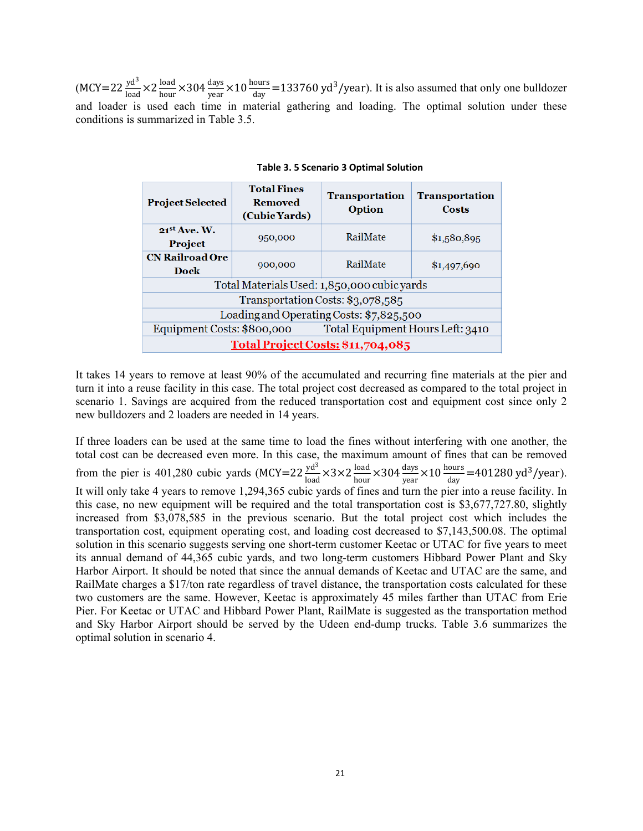$(MCY=22 \frac{yd^3}{load} \times 2 \frac{load}{hour} \times 304 \frac{days}{year} \times 10 \frac{hours}{day} = 133760 \text{ yd}^3\text{/year}.$  It is also assumed that only one bulldozer and loader is used each time in material gathering and loading. The optimal solution under these conditions is summarized in Table 3.5.

| <b>Project Selected</b>                     | <b>Total Fines</b><br><b>Removed</b><br>(Cubic Yards)          | <b>Transportation</b><br><b>Option</b> | <b>Transportation</b><br>Costs |  |
|---------------------------------------------|----------------------------------------------------------------|----------------------------------------|--------------------------------|--|
| $21^{st}$ Ave. W.                           | 950,000                                                        | RailMate                               | \$1,580,895                    |  |
| <b>Project</b>                              |                                                                |                                        |                                |  |
| <b>CN Railroad Ore</b>                      | 900,000                                                        | RailMate                               | \$1,497,690                    |  |
| Dock                                        |                                                                |                                        |                                |  |
| Total Materials Used: 1,850,000 cubic yards |                                                                |                                        |                                |  |
| Transportation Costs: \$3,078,585           |                                                                |                                        |                                |  |
| Loading and Operating Costs: \$7,825,500    |                                                                |                                        |                                |  |
|                                             | Total Equipment Hours Left: 3410<br>Equipment Costs: \$800,000 |                                        |                                |  |
| Total Project Costs: \$11,704,085           |                                                                |                                        |                                |  |

**Table 3. 5 Scenario 3 Optimal Solution**

It takes 14 years to remove at least 90% of the accumulated and recurring fine materials at the pier and turn it into a reuse facility in this case. The total project cost decreased as compared to the total project in scenario 1. Savings are acquired from the reduced transportation cost and equipment cost since only 2 new bulldozers and 2 loaders are needed in 14 years.

If three loaders can be used at the same time to load the fines without interfering with one another, the total cost can be decreased even more. In this case, the maximum amount of fines that can be removed from the pier is 401,280 cubic yards (MCY=22  $\frac{yd^3}{load} \times 3 \times 2 \frac{load}{hour} \times 304 \frac{days}{year} \times 10 \frac{hours}{day} = 401280 \text{ yd}^3\text{/year}$ ). It will only take 4 years to remove 1,294,365 cubic yards of fines and turn the pier into a reuse facility. In this case, no new equipment will be required and the total transportation cost is \$3,677,727.80, slightly increased from \$3,078,585 in the previous scenario. But the total project cost which includes the transportation cost, equipment operating cost, and loading cost decreased to \$7,143,500.08. The optimal solution in this scenario suggests serving one short-term customer Keetac or UTAC for five years to meet its annual demand of 44,365 cubic yards, and two long-term customers Hibbard Power Plant and Sky Harbor Airport. It should be noted that since the annual demands of Keetac and UTAC are the same, and RailMate charges a \$17/ton rate regardless of travel distance, the transportation costs calculated for these two customers are the same. However, Keetac is approximately 45 miles farther than UTAC from Erie Pier. For Keetac or UTAC and Hibbard Power Plant, RailMate is suggested as the transportation method and Sky Harbor Airport should be served by the Udeen end-dump trucks. Table 3.6 summarizes the optimal solution in scenario 4.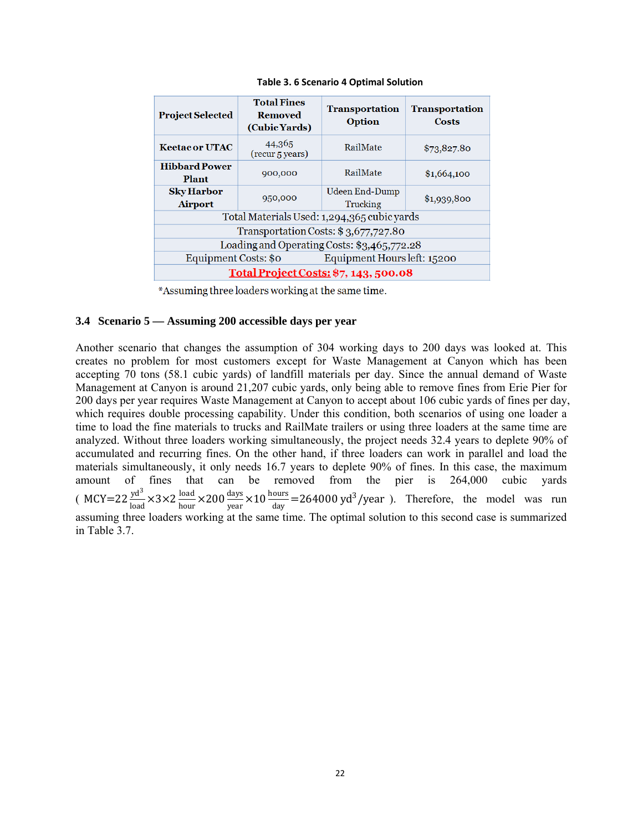| <b>Project Selected</b>                     | <b>Total Fines</b><br>Removed<br>(Cubic Yards) | <b>Transportation</b><br><b>Option</b> | <b>Transportation</b><br>Costs |  |  |  |
|---------------------------------------------|------------------------------------------------|----------------------------------------|--------------------------------|--|--|--|
| <b>Keetacor UTAC</b>                        | 44,365<br>(recur <sub>5</sub> years)           | RailMate                               | \$73,827.80                    |  |  |  |
| <b>Hibbard Power</b><br>Plant               | 900,000                                        | RailMate                               | \$1,664,100                    |  |  |  |
| <b>Sky Harbor</b><br><b>Airport</b>         | 950,000                                        | Udeen End-Dump<br>Trucking             | \$1,939,800                    |  |  |  |
| Total Materials Used: 1,294,365 cubic yards |                                                |                                        |                                |  |  |  |
| Transportation Costs: \$3,677,727.80        |                                                |                                        |                                |  |  |  |
| Loading and Operating Costs: \$3,465,772.28 |                                                |                                        |                                |  |  |  |
| Equipment Costs: \$0                        |                                                | Equipment Hours left: 15200            |                                |  |  |  |
| Total Project Costs: \$7, 143, 500.08       |                                                |                                        |                                |  |  |  |

**Table 3. 6 Scenario 4 Optimal Solution**

\*Assuming three loaders working at the same time.

#### **3.4 Scenario 5 — Assuming 200 accessible days per year**

Another scenario that changes the assumption of 304 working days to 200 days was looked at. This creates no problem for most customers except for Waste Management at Canyon which has been accepting 70 tons (58.1 cubic yards) of landfill materials per day. Since the annual demand of Waste Management at Canyon is around 21,207 cubic yards, only being able to remove fines from Erie Pier for 200 days per year requires Waste Management at Canyon to accept about 106 cubic yards of fines per day, which requires double processing capability. Under this condition, both scenarios of using one loader a time to load the fine materials to trucks and RailMate trailers or using three loaders at the same time are analyzed. Without three loaders working simultaneously, the project needs 32.4 years to deplete 90% of accumulated and recurring fines. On the other hand, if three loaders can work in parallel and load the materials simultaneously, it only needs 16.7 years to deplete 90% of fines. In this case, the maximum amount of fines that can be removed from the pier is 264,000 cubic yards ( MCY=22  $\frac{yd^3}{load}$  ×3×2  $\frac{load}{hour}$  ×200  $\frac{days}{year}$  ×10  $\frac{hours}{day}$  =264000 yd<sup>3</sup>/year ). Therefore, the model was run assuming three loaders working at the same time. The optimal solution to this second case is summarized in Table 3.7.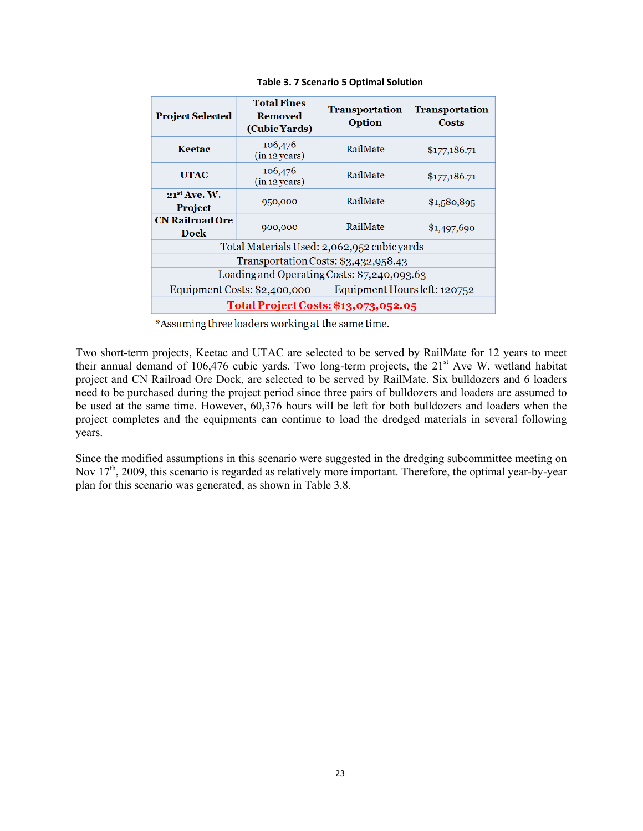| <b>Project Selected</b>                                   | <b>Total Fines</b><br><b>Removed</b><br>(Cubic Yards) | <b>Transportation</b><br><b>Option</b> | <b>Transportation</b><br>Costs |  |  |  |
|-----------------------------------------------------------|-------------------------------------------------------|----------------------------------------|--------------------------------|--|--|--|
| Keetac                                                    | 106,476<br>(in 12 years)                              | RailMate                               | \$177,186.71                   |  |  |  |
| <b>UTAC</b>                                               | 106,476<br>(in 12 years)                              | RailMate                               | \$177,186.71                   |  |  |  |
| $21^{st}$ Ave. W.<br><b>Project</b>                       | 950,000                                               | RailMate                               | \$1,580,895                    |  |  |  |
| <b>CN Railroad Ore</b><br><b>Dock</b>                     | 900,000                                               | RailMate                               | \$1,497,690                    |  |  |  |
| Total Materials Used: 2,062,952 cubicyards                |                                                       |                                        |                                |  |  |  |
| Transportation Costs: \$3,432,958.43                      |                                                       |                                        |                                |  |  |  |
| Loading and Operating Costs: \$7,240,093.63               |                                                       |                                        |                                |  |  |  |
| Equipment Costs: \$2,400,000 Equipment Hours left: 120752 |                                                       |                                        |                                |  |  |  |
| Total Project Costs: \$13,073,052.05                      |                                                       |                                        |                                |  |  |  |

**Table 3. 7 Scenario 5 Optimal Solution**

\*Assuming three loaders working at the same time.

Two short-term projects, Keetac and UTAC are selected to be served by RailMate for 12 years to meet their annual demand of 106,476 cubic yards. Two long-term projects, the 21<sup>st</sup> Ave W. wetland habitat project and CN Railroad Ore Dock, are selected to be served by RailMate. Six bulldozers and 6 loaders need to be purchased during the project period since three pairs of bulldozers and loaders are assumed to be used at the same time. However, 60,376 hours will be left for both bulldozers and loaders when the project completes and the equipments can continue to load the dredged materials in several following years.

Since the modified assumptions in this scenario were suggested in the dredging subcommittee meeting on Nov 17<sup>th</sup>, 2009, this scenario is regarded as relatively more important. Therefore, the optimal year-by-year plan for this scenario was generated, as shown in Table 3.8.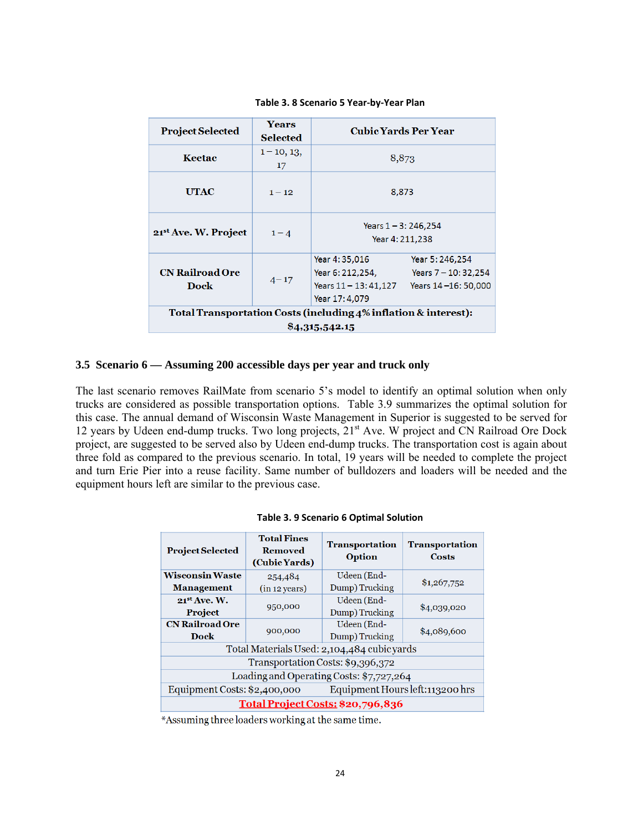| <b>Project Selected</b>                                         | <b>Years</b>    | <b>Cubic Yards Per Year</b> |                        |  |  |  |
|-----------------------------------------------------------------|-----------------|-----------------------------|------------------------|--|--|--|
|                                                                 | <b>Selected</b> |                             |                        |  |  |  |
| Keetac                                                          | $1 - 10, 13,$   | 8,873                       |                        |  |  |  |
|                                                                 | 17              |                             |                        |  |  |  |
|                                                                 |                 |                             |                        |  |  |  |
| <b>UTAC</b>                                                     | $1 - 12$        | 8,873                       |                        |  |  |  |
|                                                                 |                 |                             |                        |  |  |  |
|                                                                 | $1 - 4$         | Years $1 - 3: 246, 254$     |                        |  |  |  |
| 21 <sup>st</sup> Ave. W. Project                                |                 | Year 4: 211,238             |                        |  |  |  |
|                                                                 |                 |                             |                        |  |  |  |
|                                                                 | $4 - 17$        | Year 4:35,016               | Year 5: 246, 254       |  |  |  |
| <b>CN Railroad Ore</b>                                          |                 | Year 6: 212,254,            | Years $7 - 10: 32,254$ |  |  |  |
| Dock                                                            |                 | Years 11 - 13: 41,127       | Years 14-16: 50,000    |  |  |  |
|                                                                 |                 | Year 17: 4,079              |                        |  |  |  |
| Total Transportation Costs (including 4% inflation & interest): |                 |                             |                        |  |  |  |
| \$4,315,542.15                                                  |                 |                             |                        |  |  |  |

**Table 3. 8 Scenario 5 Year‐by‐Year Plan**

#### **3.5 Scenario 6 — Assuming 200 accessible days per year and truck only**

The last scenario removes RailMate from scenario 5's model to identify an optimal solution when only trucks are considered as possible transportation options. Table 3.9 summarizes the optimal solution for this case. The annual demand of Wisconsin Waste Management in Superior is suggested to be served for 12 years by Udeen end-dump trucks. Two long projects, 21<sup>st</sup> Ave. W project and CN Railroad Ore Dock project, are suggested to be served also by Udeen end-dump trucks. The transportation cost is again about three fold as compared to the previous scenario. In total, 19 years will be needed to complete the project and turn Erie Pier into a reuse facility. Same number of bulldozers and loaders will be needed and the equipment hours left are similar to the previous case.

| <b>Project Selected</b>                                          | <b>Total Fines</b><br><b>Removed</b><br>(Cubic Yards) | <b>Transportation</b><br>Option | <b>Transportation</b><br>Costs |  |  |
|------------------------------------------------------------------|-------------------------------------------------------|---------------------------------|--------------------------------|--|--|
| <b>Wisconsin Waste</b>                                           | 254,484                                               | Udeen (End-                     |                                |  |  |
| <b>Management</b>                                                | (in 12 years)                                         | Dump) Trucking                  | \$1,267,752                    |  |  |
| $21^{st}$ Ave. W.                                                |                                                       | Udeen (End-                     |                                |  |  |
| <b>Project</b>                                                   | 950,000                                               | Dump) Trucking                  | \$4,039,020                    |  |  |
| <b>CN Railroad Ore</b>                                           |                                                       | Udeen (End-                     |                                |  |  |
| Dock                                                             | 900,000                                               | Dump) Trucking                  | \$4,089,600                    |  |  |
| Total Materials Used: 2,104,484 cubicyards                       |                                                       |                                 |                                |  |  |
| Transportation Costs: \$9,396,372                                |                                                       |                                 |                                |  |  |
| Loading and Operating Costs: \$7,727,264                         |                                                       |                                 |                                |  |  |
| Equipment Hours left: 113200 hrs<br>Equipment Costs: \$2,400,000 |                                                       |                                 |                                |  |  |
| Total Project Costs: \$20,796,836                                |                                                       |                                 |                                |  |  |

|  |  | Table 3. 9 Scenario 6 Optimal Solution |  |  |  |
|--|--|----------------------------------------|--|--|--|
|--|--|----------------------------------------|--|--|--|

\*Assuming three loaders working at the same time.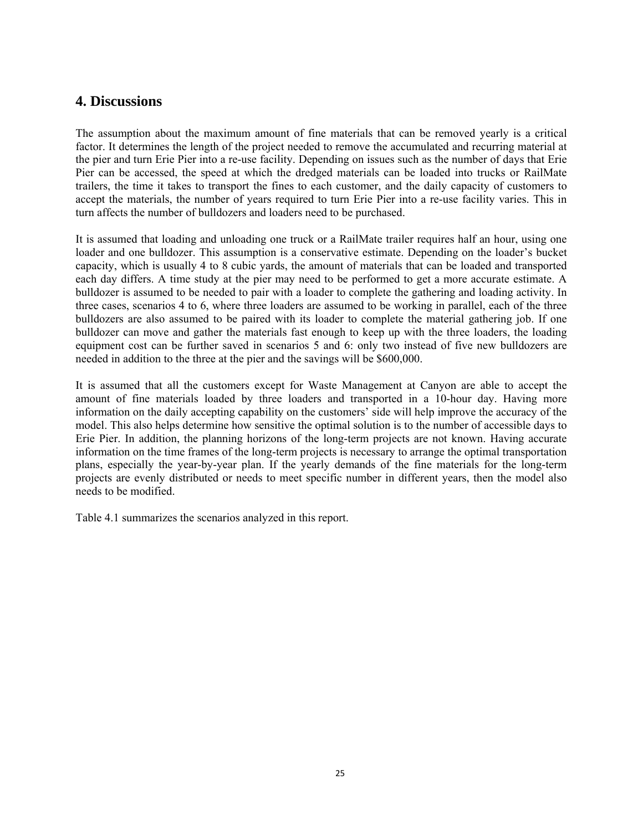## **4. Discussions**

The assumption about the maximum amount of fine materials that can be removed yearly is a critical factor. It determines the length of the project needed to remove the accumulated and recurring material at the pier and turn Erie Pier into a re-use facility. Depending on issues such as the number of days that Erie Pier can be accessed, the speed at which the dredged materials can be loaded into trucks or RailMate trailers, the time it takes to transport the fines to each customer, and the daily capacity of customers to accept the materials, the number of years required to turn Erie Pier into a re-use facility varies. This in turn affects the number of bulldozers and loaders need to be purchased.

It is assumed that loading and unloading one truck or a RailMate trailer requires half an hour, using one loader and one bulldozer. This assumption is a conservative estimate. Depending on the loader's bucket capacity, which is usually 4 to 8 cubic yards, the amount of materials that can be loaded and transported each day differs. A time study at the pier may need to be performed to get a more accurate estimate. A bulldozer is assumed to be needed to pair with a loader to complete the gathering and loading activity. In three cases, scenarios 4 to 6, where three loaders are assumed to be working in parallel, each of the three bulldozers are also assumed to be paired with its loader to complete the material gathering job. If one bulldozer can move and gather the materials fast enough to keep up with the three loaders, the loading equipment cost can be further saved in scenarios 5 and 6: only two instead of five new bulldozers are needed in addition to the three at the pier and the savings will be \$600,000.

It is assumed that all the customers except for Waste Management at Canyon are able to accept the amount of fine materials loaded by three loaders and transported in a 10-hour day. Having more information on the daily accepting capability on the customers' side will help improve the accuracy of the model. This also helps determine how sensitive the optimal solution is to the number of accessible days to Erie Pier. In addition, the planning horizons of the long-term projects are not known. Having accurate information on the time frames of the long-term projects is necessary to arrange the optimal transportation plans, especially the year-by-year plan. If the yearly demands of the fine materials for the long-term projects are evenly distributed or needs to meet specific number in different years, then the model also needs to be modified.

Table 4.1 summarizes the scenarios analyzed in this report.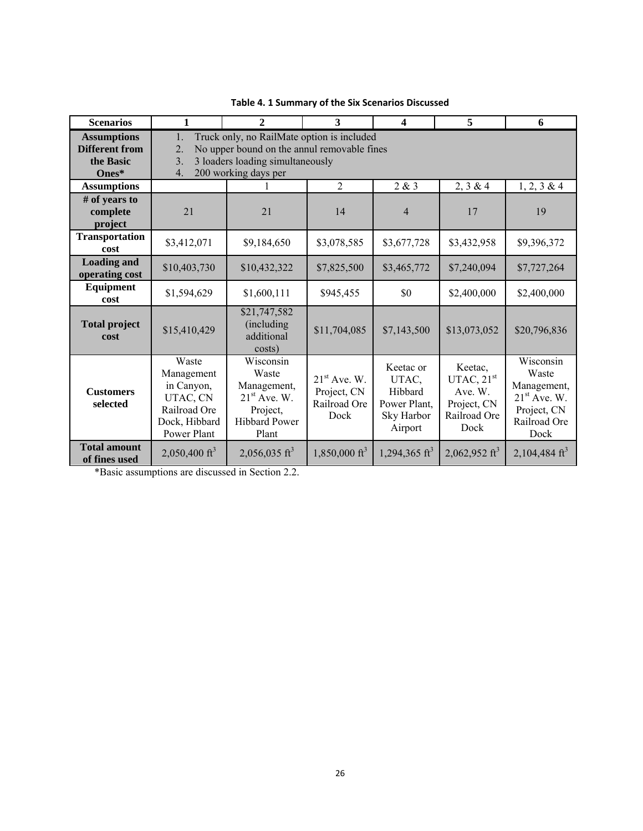| <b>Scenarios</b>                                                    | 1                                                                                                                                                                                         | $\mathbf{2}$                                                                                     | 3                                                     | 4                                                                      | 5                                                                         | 6                                                                                          |  |
|---------------------------------------------------------------------|-------------------------------------------------------------------------------------------------------------------------------------------------------------------------------------------|--------------------------------------------------------------------------------------------------|-------------------------------------------------------|------------------------------------------------------------------------|---------------------------------------------------------------------------|--------------------------------------------------------------------------------------------|--|
| <b>Assumptions</b><br><b>Different from</b><br>the Basic<br>$Ones*$ | Truck only, no RailMate option is included<br>1.<br>No upper bound on the annul removable fines<br>2.<br>3 loaders loading simultaneously<br>3 <sub>1</sub><br>200 working days per<br>4. |                                                                                                  |                                                       |                                                                        |                                                                           |                                                                                            |  |
| <b>Assumptions</b>                                                  |                                                                                                                                                                                           |                                                                                                  | 2                                                     | 2 & 3                                                                  | 2, 3 & 4                                                                  | $1, 2, 3 \& 4$                                                                             |  |
| # of years to<br>complete<br>project                                | 21                                                                                                                                                                                        | 21                                                                                               | 14                                                    | $\overline{4}$                                                         | 17                                                                        | 19                                                                                         |  |
| <b>Transportation</b><br>cost                                       | \$3,412,071                                                                                                                                                                               | \$9,184,650                                                                                      | \$3,078,585                                           | \$3,677,728                                                            | \$3,432,958                                                               | \$9,396,372                                                                                |  |
| <b>Loading and</b><br>operating cost                                | \$10,403,730                                                                                                                                                                              | \$10,432,322                                                                                     | \$7,825,500                                           | \$3,465,772                                                            | \$7,240,094                                                               | \$7,727,264                                                                                |  |
| Equipment<br>cost                                                   | \$1,594,629                                                                                                                                                                               | \$1,600,111                                                                                      | \$945,455                                             | \$0                                                                    | \$2,400,000                                                               | \$2,400,000                                                                                |  |
| <b>Total project</b><br>cost                                        | \$15,410,429                                                                                                                                                                              | \$21,747,582<br>(including)<br>additional<br>costs)                                              | \$11,704,085                                          | \$7,143,500                                                            | \$13,073,052                                                              | \$20,796,836                                                                               |  |
| <b>Customers</b><br>selected                                        | Waste<br>Management<br>in Canyon,<br>UTAC, CN<br>Railroad Ore<br>Dock, Hibbard<br>Power Plant                                                                                             | Wisconsin<br>Waste<br>Management,<br>$21st$ Ave. W.<br>Project,<br><b>Hibbard Power</b><br>Plant | $21st$ Ave. W.<br>Project, CN<br>Railroad Ore<br>Dock | Keetac or<br>UTAC,<br>Hibbard<br>Power Plant,<br>Sky Harbor<br>Airport | Keetac,<br>UTAC, $21st$<br>Ave. W.<br>Project, CN<br>Railroad Ore<br>Dock | Wisconsin<br>Waste<br>Management,<br>$21st$ Ave. W.<br>Project, CN<br>Railroad Ore<br>Dock |  |
| <b>Total amount</b><br>of fines used                                | 2,050,400 ft <sup>3</sup>                                                                                                                                                                 | $2,056,035 \text{ ft}^3$                                                                         | $1,850,000 \text{ ft}^3$                              | 1,294,365 ft <sup>3</sup>                                              | 2,062,952 ft <sup>3</sup>                                                 | 2,104,484 $ft^3$                                                                           |  |

**Table 4. 1 Summary of the Six Scenarios Discussed**

\*Basic assumptions are discussed in Section 2.2.